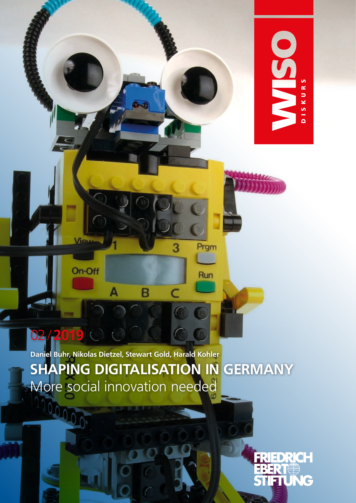

다양다량 TFTU ING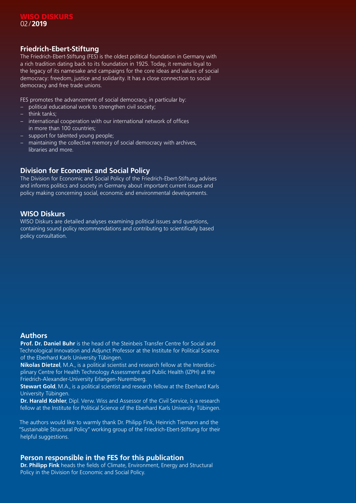#### **Friedrich-Ebert-Stiftung**

The Friedrich-Ebert-Stiftung (FES) is the oldest political foundation in Germany with a rich tradition dating back to its foundation in 1925. Today, it remains loyal to the legacy of its namesake and campaigns for the core ideas and values of social democracy: freedom, justice and solidarity. It has a close connection to social democracy and free trade unions.

FES promotes the advancement of social democracy, in particular by:

- political educational work to strengthen civil society;
- think tanks;
- international cooperation with our international network of offices in more than 100 countries;
- support for talented young people;
- maintaining the collective memory of social democracy with archives, libraries and more.

#### **Division for Economic and Social Policy**

The Division for Economic and Social Policy of the Friedrich-Ebert-Stiftung advises and informs politics and society in Germany about important current issues and policy making concerning social, economic and environmental developments.

#### **WISO Diskurs**

WISO Diskurs are detailed analyses examining political issues and questions, containing sound policy recommendations and contributing to scientifically based policy consultation.

#### **Authors**

**Prof. Dr. Daniel Buhr** is the head of the Steinbeis Transfer Centre for Social and Technological Innovation and Adjunct Professor at the Institute for Political Science of the Eberhard Karls University Tübingen.

**Nikolas Dietzel**, M.A., is a political scientist and research fellow at the Interdisciplinary Centre for Health Technology Assessment and Public Health (IZPH) at the Friedrich-Alexander-University Erlangen-Nuremberg.

**Stewart Gold**, M.A., is a political scientist and research fellow at the Eberhard Karls University Tübingen.

**Dr. Harald Kohler**, Dipl. Verw. Wiss and Assessor of the Civil Service, is a research fellow at the Institute for Political Science of the Eberhard Karls University Tübingen.

The authors would like to warmly thank Dr. Philipp Fink, Heinrich Tiemann and the "Sustainable Structural Policy" working group of the Friedrich-Ebert-Stiftung for their helpful suggestions.

#### **Person responsible in the FES for this publication**

**Dr. Philipp Fink** heads the fields of Climate, Environment, Energy and Structural Policy in the Division for Economic and Social Policy.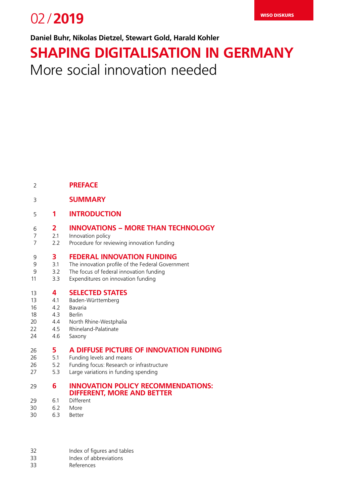## 02/**2019**

29

29 30 30

**Daniel Buhr, Nikolas Dietzel, Stewart Gold, Harald Kohler** 

## **SHAPING DIGITALISATION IN GERMANY** More social innovation needed

| 2              |                | <b>PREFACE</b>                                                                 |
|----------------|----------------|--------------------------------------------------------------------------------|
| 3              |                | <b>SUMMARY</b>                                                                 |
| 5              | 1              | <b>INTRODUCTION</b>                                                            |
| 6              | $\overline{2}$ | <b>INNOVATIONS - MORE THAN TECHNOLOGY</b>                                      |
| 7              | 2.1            | Innovation policy                                                              |
| 7              | 2.2            | Procedure for reviewing innovation funding                                     |
| 9              | 3              | <b>FEDERAL INNOVATION FUNDING</b>                                              |
| 9              | 3.1            | The innovation profile of the Federal Government                               |
| 9              | 3.2            | The focus of federal innovation funding                                        |
| 11             | 3.3            | Expenditures on innovation funding                                             |
| 13             | 4              | <b>SELECTED STATES</b>                                                         |
| 13             | 4.1            | Baden-Württemberg                                                              |
| 16             | 4.2            | Bavaria                                                                        |
| 18             | 4.3            | <b>Berlin</b>                                                                  |
| 20             | 4.4            | North Rhine-Westphalia                                                         |
| $^{22}$        | 4.5            | Rhineland-Palatinate                                                           |
| $^{24}$        | 4.6            | Saxony                                                                         |
| 26             | 5              | A DIFFUSE PICTURE OF INNOVATION FUNDING                                        |
| 26             | 5.1            | Funding levels and means                                                       |
| 26             | 5.2            | Funding focus: Research or infrastructure                                      |
| $\frac{2}{7}$  | 5.3            | Large variations in funding spending                                           |
| $\overline{9}$ | 6              | <b>INNOVATION POLICY RECOMMENDATIONS:</b><br><b>DIFFERENT, MORE AND BETTER</b> |
| <u>'9</u>      | 6.1            | Different                                                                      |
| 80             | 6.2            | More                                                                           |
| 30             | 6.3            | Better                                                                         |

Index of figures and tables 32

- Index of abbreviations 33
- References 33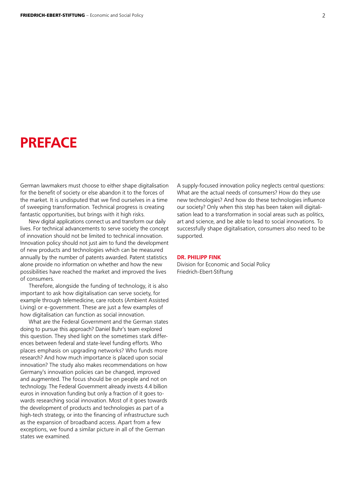## **PREFACE**

German lawmakers must choose to either shape digitalisation for the benefit of society or else abandon it to the forces of the market. It is undisputed that we find ourselves in a time of sweeping transformation. Technical progress is creating fantastic opportunities, but brings with it high risks.

New digital applications connect us and transform our daily lives. For technical advancements to serve society the concept of innovation should not be limited to technical innovation. Innovation policy should not just aim to fund the development of new products and technologies which can be measured annually by the number of patents awarded. Patent statistics alone provide no information on whether and how the new possibilities have reached the market and improved the lives of consumers.

Therefore, alongside the funding of technology, it is also important to ask how digitalisation can serve society, for example through telemedicine, care robots (Ambient Assisted Living) or e-government. These are just a few examples of how digitalisation can function as social innovation.

What are the Federal Government and the German states doing to pursue this approach? Daniel Buhr's team explored this question. They shed light on the sometimes stark differences between federal and state-level funding efforts. Who places emphasis on upgrading networks? Who funds more research? And how much importance is placed upon social innovation? The study also makes recommendations on how Germany's innovation policies can be changed, improved and augmented. The focus should be on people and not on technology. The Federal Government already invests 4.4 billion euros in innovation funding but only a fraction of it goes towards researching social innovation. Most of it goes towards the development of products and technologies as part of a high-tech strategy, or into the financing of infrastructure such as the expansion of broadband access. Apart from a few exceptions, we found a similar picture in all of the German states we examined.

A supply-focused innovation policy neglects central questions: What are the actual needs of consumers? How do they use new technologies? And how do these technologies influence our society? Only when this step has been taken will digitalisation lead to a transformation in social areas such as politics, art and science, and be able to lead to social innovations. To successfully shape digitalisation, consumers also need to be supported.

#### **DR. PHILIPP FINK**

Division for Economic and Social Policy Friedrich-Ebert-Stiftung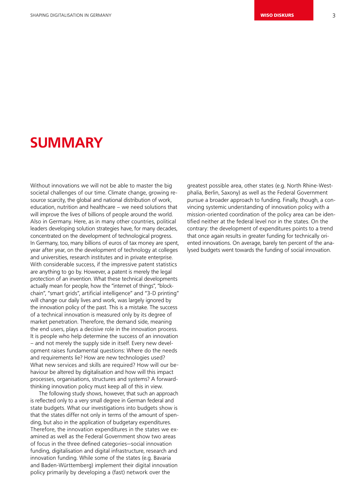## **SUMMARY**

Without innovations we will not be able to master the big societal challenges of our time. Climate change, growing resource scarcity, the global and national distribution of work, education, nutrition and healthcare – we need solutions that will improve the lives of billions of people around the world. Also in Germany. Here, as in many other countries, political leaders developing solution strategies have, for many decades, concentrated on the development of technological progress. In Germany, too, many billions of euros of tax money are spent, year after year, on the development of technology at colleges and universities, research institutes and in private enterprise. With considerable success, if the impressive patent statistics are anything to go by. However, a patent is merely the legal protection of an invention. What these technical developments actually mean for people, how the "internet of things", "blockchain", "smart grids", artificial intelligence" and "3-D printing" will change our daily lives and work, was largely ignored by the innovation policy of the past. This is a mistake. The success of a technical innovation is measured only by its degree of market penetration. Therefore, the demand side, meaning the end users, plays a decisive role in the innovation process. It is people who help determine the success of an innovation – and not merely the supply side in itself. Every new development raises fundamental questions: Where do the needs and requirements lie? How are new technologies used? What new services and skills are required? How will our behaviour be altered by digitalisation and how will this impact processes, organisations, structures and systems? A forwardthinking innovation policy must keep all of this in view.

The following study shows, however, that such an approach is reflected only to a very small degree in German federal and state budgets. What our investigations into budgets show is that the states differ not only in terms of the amount of spending, but also in the application of budgetary expenditures. Therefore, the innovation expenditures in the states we examined as well as the Federal Government show two areas of focus in the three defined categories—social innovation funding, digitalisation and digital infrastructure, research and innovation funding. While some of the states (e.g. Bavaria and Baden-Württemberg) implement their digital innovation policy primarily by developing a (fast) network over the

greatest possible area, other states (e.g. North Rhine-Westphalia, Berlin, Saxony) as well as the Federal Government pursue a broader approach to funding. Finally, though, a convincing systemic understanding of innovation policy with a mission-oriented coordination of the policy area can be identified neither at the federal level nor in the states. On the contrary: the development of expenditures points to a trend that once again results in greater funding for technically oriented innovations. On average, barely ten percent of the analysed budgets went towards the funding of social innovation.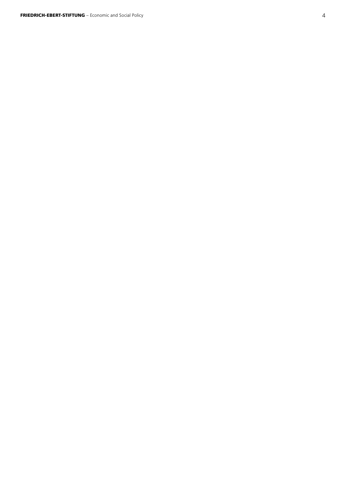**FRIEDRICH-EBERT-STIFTUNG** – Economic and Social Policy **4** 4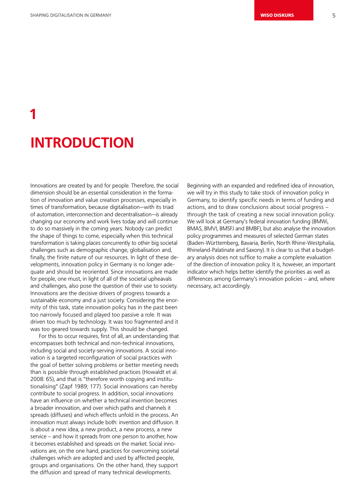# **1 INTRODUCTION**

Innovations are created by and for people. Therefore, the social dimension should be an essential consideration in the formation of innovation and value creation processes, especially in times of transformation, because digitalisation—with its triad of automation, interconnection and decentralisation—is already changing our economy and work lives today and will continue to do so massively in the coming years. Nobody can predict the shape of things to come, especially when this technical transformation is taking places concurrently to other big societal challenges such as demographic change, globalisation and, finally, the finite nature of our resources. In light of these developments, innovation policy in Germany is no longer adequate and should be reoriented. Since innovations are made for people, one must, in light of all of the societal upheavals and challenges, also pose the question of their use to society. Innovations are the decisive drivers of progress towards a sustainable economy and a just society. Considering the enormity of this task, state innovation policy has in the past been too narrowly focused and played too passive a role. It was driven too much by technology. It was too fragmented and it was too geared towards supply. This should be changed.

For this to occur requires, first of all, an understanding that encompasses both technical and non-technical innovations, including social and society-serving innovations. A social innovation is a targeted reconfiguration of social practices with the goal of better solving problems or better meeting needs than is possible through established practices (Howaldt et al. 2008: 65), and that is "therefore worth copying and institutionalising" (Zapf 1989; 177). Social innovations can hereby contribute to social progress. In addition, social innovations have an influence on whether a technical invention becomes a broader innovation, and over which paths and channels it spreads (diffuses) and which effects unfold in the process. An innovation must always include both: invention and diffusion. It is about a new idea, a new product, a new process, a new service – and how it spreads from one person to another, how it becomes established and spreads on the market. Social innovations are, on the one hand, practices for overcoming societal challenges which are adopted and used by affected people, groups and organisations. On the other hand, they support the diffusion and spread of many technical developments.

Beginning with an expanded and redefined idea of innovation, we will try in this study to take stock of innovation policy in Germany, to identify specific needs in terms of funding and actions, and to draw conclusions about social progress – through the task of creating a new social innovation policy. We will look at Germany's federal innovation funding (BMWi, BMAS, BMVI, BMSFJ and BMBF), but also analyse the innovation policy programmes and measures of selected German states (Baden-Württemberg, Bavaria, Berlin, North Rhine-Westphalia, Rhineland-Palatinate and Saxony). It is clear to us that a budgetary analysis does not suffice to make a complete evaluation of the direction of innovation policy. It is, however, an important indicator which helps better identify the priorities as well as differences among Germany's innovation policies – and, where necessary, act accordingly.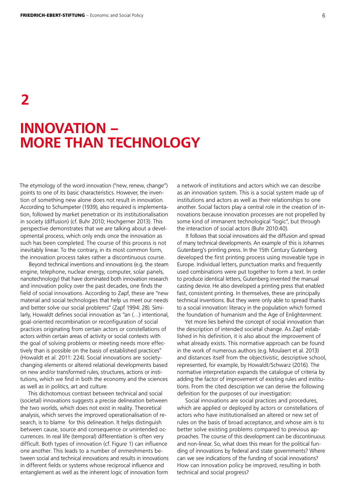**2**

## **INNOVATION – MORE THAN TECHNOLOGY**

The etymology of the word innovation ("new, renew, change") points to one of its basic characteristics. However, the invention of something new alone does not result in innovation. According to Schumpeter (1939), also required is implementation, followed by market penetration or its institutionalisation in society (diffusion) (cf. Buhr 2010; Hochgerner 2013). This perspective demonstrates that we are talking about a developmental process, which only ends once the innovation as such has been completed. The course of this process is not inevitably linear. To the contrary, in its most common form, the innovation process takes rather a discontinuous course.

Beyond technical inventions and innovations (e.g. the steam engine, telephone, nuclear energy, computer, solar panels, nanotechnology) that have dominated both innovation research and innovation policy over the past decades, one finds the field of social innovations. According to Zapf, these are "new material and social technologies that help us meet our needs and better solve our social problems" (Zapf 1994: 28). Similarly, Howaldt defines social innovation as "an (…) intentional, goal-oriented recombination or reconfiguration of social practices originating from certain actors or constellations of actors within certain areas of activity or social contexts with the goal of solving problems or meeting needs more effectively than is possible on the basis of established practices" (Howaldt et al. 2011: 224). Social innovations are societychanging elements or altered relational developments based on new and/or transformed rules, structures, actions or institutions, which we find in both the economy and the sciences as well as in politics, art and culture.

This dichotomous contrast between technical and social (societal) innovations suggests a precise delineation between the two worlds, which does not exist in reality. Theoretical analysis, which serves the improved operationalisation of research, is to blame for this delineation. It helps distinguish between cause, source and consequence or unintended occurrences. In real life (temporal) differentiation is often very difficult. Both types of innovation (cf. Figure 1) can influence one another. This leads to a number of enmeshments between social and technical innovations and results in innovations in different fields or systems whose reciprocal influence and entanglement as well as the inherent logic of innovation form

a network of institutions and actors which we can describe as an innovation system. This is a social system made up of institutions and actors as well as their relationships to one another. Social factors play a central role in the creation of innovations because innovation processes are not propelled by some kind of immanent technological "logic", but through the interaction of social actors (Buhr 2010:40).

It follows that social innovations aid the diffusion and spread of many technical developments. An example of this is Johannes Gutenberg's printing press. In the 15th Century Gutenberg developed the first printing process using moveable type in Europe. Individual letters, punctuation marks and frequently used combinations were put together to form a text. In order to produce identical letters, Gutenberg invented the manual casting device. He also developed a printing press that enabled fast, consistent printing. In themselves, these are principally technical inventions. But they were only able to spread thanks to a social innovation: literacy in the population which formed the foundation of humanism and the Age of Enlightenment.

Yet more lies behind the concept of social innovation than the description of intended societal change. As Zapf established in his definition, it is also about the improvement of what already exists. This normative approach can be found in the work of numerous authors (e.g. Moulaert et al. 2013) and distances itself from the objectivistic, descriptive school, represented, for example, by Howaldt/Schwarz (2016). The normative interpretation expands the catalogue of criteria by adding the factor of improvement of existing rules and institutions. From the cited description we can derive the following definition for the purposes of our investigation:

Social innovations are social practices and procedures, which are applied or deployed by actors or constellations of actors who have institutionalised an altered or new set of rules on the basis of broad acceptance, and whose aim is to better solve existing problems compared to previous approaches. The course of this development can be discontinuous and non-linear. So, what does this mean for the political funding of innovations by federal and state governments? Where can we see indications of the funding of social innovations? How can innovation policy be improved, resulting in both technical and social progress?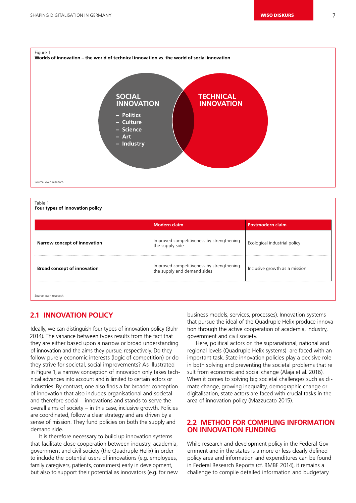

Table 1 **Four types of innovation policy**

|                                    | <b>Modern claim</b>                                                      | <b>Postmodern claim</b>       |
|------------------------------------|--------------------------------------------------------------------------|-------------------------------|
| Narrow concept of innovation       | Improved competitiveness by strengthening<br>the supply side             | Ecological industrial policy  |
| <b>Broad concept of innovation</b> | Improved competitiveness by strengthening<br>the supply and demand sides | Inclusive growth as a mission |
| Source: own research               |                                                                          |                               |

### **2.1 INNOVATION POLICY**

Ideally, we can distinguish four types of innovation policy (Buhr 2014). The variance between types results from the fact that they are either based upon a narrow or broad understanding of innovation and the aims they pursue, respectively. Do they follow purely economic interests (logic of competition) or do they strive for societal, social improvements? As illustrated in Figure 1, a narrow conception of innovation only takes technical advances into account and is limited to certain actors or industries. By contrast, one also finds a far broader conception of innovation that also includes organisational and societal – and therefore social – innovations and stands to serve the overall aims of society – in this case, inclusive growth. Policies are coordinated, follow a clear strategy and are driven by a sense of mission. They fund policies on both the supply and demand side.

It is therefore necessary to build up innovation systems that facilitate close cooperation between industry, academia, government and civil society (the Quadruple Helix) in order to include the potential users of innovations (e.g. employees, family caregivers, patients, consumers) early in development, but also to support their potential as innovators (e.g. for new

business models, services, processes). Innovation systems that pursue the ideal of the Quadruple Helix produce innovation through the active cooperation of academia, industry, government and civil society.

Here, political actors on the supranational, national and regional levels (Quadruple Helix systems) are faced with an important task. State innovation policies play a decisive role in both solving and preventing the societal problems that result from economic and social change (Alaja et al. 2016). When it comes to solving big societal challenges such as climate change, growing inequality, demographic change or digitalisation, state actors are faced with crucial tasks in the area of innovation policy (Mazzucato 2015).

#### **2.2 METHOD FOR COMPILING INFORMATION ON INNOVATION FUNDING**

While research and development policy in the Federal Government and in the states is a more or less clearly defined policy area and information and expenditures can be found in Federal Research Reports (cf. BMBF 2014), it remains a challenge to compile detailed information and budgetary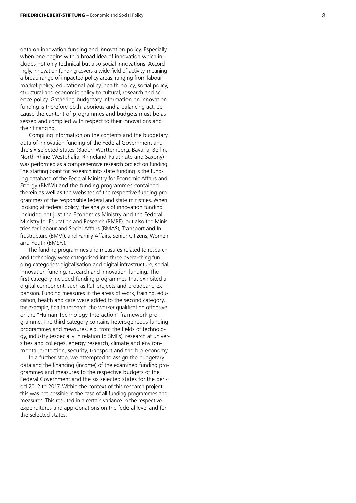data on innovation funding and innovation policy. Especially when one begins with a broad idea of innovation which in cludes not only technical but also social innovations. Accord ingly, innovation funding covers a wide field of activity, meaning a broad range of impacted policy areas, ranging from labour market policy, educational policy, health policy, social policy, structural and economic policy to cultural, research and sci ence policy. Gathering budgetary information on innovation funding is therefore both laborious and a balancing act, be cause the content of programmes and budgets must be as sessed and compiled with respect to their innovations and their financing.

Compiling information on the contents and the budgetary data of innovation funding of the Federal Government and the six selected states (Baden-Württemberg, Bavaria, Berlin, North Rhine-Westphalia, Rhineland-Palatinate and Saxony) was performed as a comprehensive research project on funding. The starting point for research into state funding is the fund ing database of the Federal Ministry for Economic Affairs and Energy (BMWi) and the funding programmes contained therein as well as the websites of the respective funding programmes of the responsible federal and state ministries. When looking at federal policy, the analysis of innovation funding included not just the Economics Ministry and the Federal Ministry for Education and Research (BMBF), but also the Ministries for Labour and Social Affairs (BMAS), Transport and Infrastructure (BMVI), and Family Affairs, Senior Citizens, Women and Youth (BMSFJ).

The funding programmes and measures related to research and technology were categorised into three overarching funding categories: digitalisation and digital infrastructure; social innovation funding; research and innovation funding. The first category included funding programmes that exhibited a digital component, such as ICT projects and broadband ex pansion. Funding measures in the areas of work, training, education, health and care were added to the second category, for example, health research, the worker qualification offensive or the "Human-Technology-Interaction" framework pro gramme. The third category contains heterogeneous funding programmes and measures, e.g. from the fields of technolo gy, industry (especially in relation to SMEs), research at universities and colleges, energy research, climate and environmental protection, security, transport and the bio-economy.

In a further step, we attempted to assign the budgetary data and the financing (income) of the examined funding programmes and measures to the respective budgets of the Federal Government and the six selected states for the peri od 2012 to 2017. Within the context of this research project, this was not possible in the case of all funding programmes and measures. This resulted in a certain variance in the respective expenditures and appropriations on the federal level and for the selected states.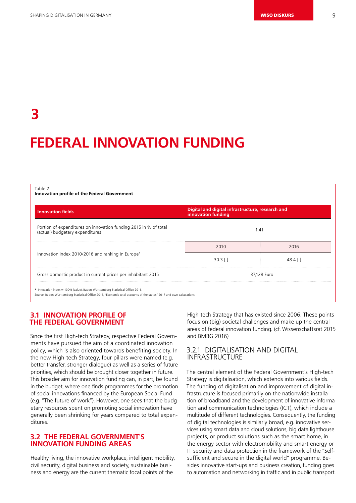# **3 FEDERAL INNOVATION FUNDING**

| Table 2<br>Innovation profile of the Federal Government                                                                                                                                                |                                                                        |            |  |
|--------------------------------------------------------------------------------------------------------------------------------------------------------------------------------------------------------|------------------------------------------------------------------------|------------|--|
| <b>Innovation fields</b>                                                                                                                                                                               | Digital and digital infrastructure, research and<br>innovation funding |            |  |
| Portion of expenditures on innovation funding 2015 in % of total<br>(actual) budgetary expenditures                                                                                                    | 1.41                                                                   |            |  |
|                                                                                                                                                                                                        | 2010                                                                   | 2016       |  |
| Innovation index 2010/2016 and ranking in Europe*                                                                                                                                                      | $30.3$ [-]                                                             | $48.4$ [-] |  |
| Gross domestic product in current prices per inhabitant 2015<br>37.128 Euro                                                                                                                            |                                                                        |            |  |
| * Innovation index = 100% (value), Baden-Württemberg Statistical Office 2016.<br>Source: Baden-Württemberg Statistical Office 2016, "Economic total accounts of the states" 2017 and own calculations. |                                                                        |            |  |

#### **3.1 INNOVATION PROFILE OF THE FEDERAL GOVERNMENT**

Since the first High-tech Strategy, respective Federal Governments have pursued the aim of a coordinated innovation policy, which is also oriented towards benefiting society. In the new High-tech Strategy, four pillars were named (e.g. better transfer, stronger dialogue) as well as a series of future priorities, which should be brought closer together in future. This broader aim for innovation funding can, in part, be found in the budget, where one finds programmes for the promotion of social innovations financed by the European Social Fund (e.g. "The future of work"). However, one sees that the budgetary resources spent on promoting social innovation have generally been shrinking for years compared to total expenditures.

#### **3.2 THE FEDERAL GOVERNMENT'S INNOVATION FUNDING AREAS**

Healthy living, the innovative workplace, intelligent mobility, civil security, digital business and society, sustainable business and energy are the current thematic focal points of the

High-tech Strategy that has existed since 2006. These points focus on (big) societal challenges and make up the central areas of federal innovation funding. (cf. Wissenschaftsrat 2015 and BMBG 2016)

#### 3.2.1 DIGITALISATION AND DIGITAL INFRASTRUCTURE

The central element of the Federal Government's High-tech Strategy is digitalisation, which extends into various fields. The funding of digitalisation and improvement of digital infrastructure is focused primarily on the nationwide installation of broadband and the development of innovative information and communication technologies (ICT), which include a multitude of different technologies. Consequently, the funding of digital technologies is similarly broad, e.g. innovative services using smart data and cloud solutions, big data lighthouse projects, or product solutions such as the smart home, in the energy sector with electromobility and smart energy or IT security and data protection in the framework of the "Selfsufficient and secure in the digital world" programme. Besides innovative start-ups and business creation, funding goes to automation and networking in traffic and in public transport.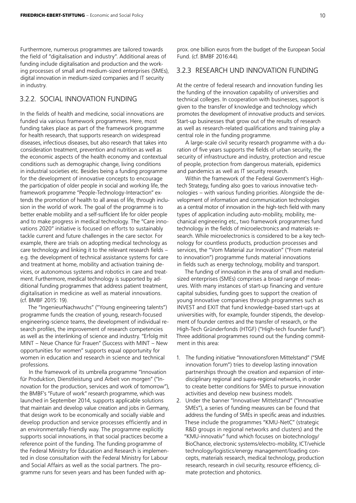Furthermore, numerous programmes are tailored towards the field of "digitalisation and industry". Additional areas of funding include digitalisation and production and the working processes of small and medium-sized enterprises (SMEs), digital innovation in medium-sized companies and IT security in industry.

#### 3.2.2. SOCIAL INNOVATION FUNDING

In the fields of health and medicine, social innovations are funded via various framework programmes. Here, most funding takes place as part of the framework programme for health research, that supports research on widespread diseases, infectious diseases, but also research that takes into consideration treatment, prevention and nutrition as well as the economic aspects of the health economy and contextual conditions such as demographic change, living conditions in industrial societies etc. Besides being a funding programme for the development of innovative concepts to encourage the participation of older people in social and working life, the framework programme "People-Technology-Interaction" extends the promotion of health to all areas of life, through inclusion in the world of work. The goal of the programme is to better enable mobility and a self-sufficient life for older people and to make progress in medical technology. The "Care innovations 2020" initiative is focused on efforts to sustainably tackle current and future challenges in the care sector. For example, there are trials on adopting medical technology as care technology and linking it to the relevant research fields – e.g. the development of technical assistance systems for care and treatment at home, mobility and activation training devices, or autonomous systems and robotics in care and treatment. Furthermore, medical technology is supported by additional funding programmes that address patient treatment, digitalisation in medicine as well as material innovations. (cf. BMBF 2015: 19).

The "IngenieurNachwuchs" ("Young engineering talents") programme funds the creation of young, research-focused engineering-science teams, the development of individual research profiles, the improvement of research competencies as well as the interlinking of science and industry. "Erfolg mit MINT – Neue Chance für Frauen" (Success with MINT – New opportunities for women" supports equal opportunity for women in education and research in science and technical professions.

In the framework of its umbrella programme "Innovation für Produktion, Dienstleistung und Arbeit von morgen" ("Innovation for the production, services and work of tomorrow"), the BMBF's "Future of work" research programme, which was launched in September 2014, supports applicable solutions that maintain and develop value creation and jobs in Germany, that design work to be economically and socially viable and develop production and service processes efficiently and in an environmentally-friendly way. The programme explicitly supports social innovations, in that social practices become a reference point of the funding. The funding programme of the Federal Ministry for Education and Research is implemented in close consultation with the Federal Ministry for Labour and Social Affairs as well as the social partners. The programme runs for seven years and has been funded with approx. one billion euros from the budget of the European Social Fund. (cf. BMBF 2016:44).

#### 3.2.3 RESEARCH UND INNOVATION FUNDING

At the centre of federal research and innovation funding lies the funding of the innovation capability of universities and technical colleges. In cooperation with businesses, support is given to the transfer of knowledge and technology which promotes the development of innovative products and services. Start-up businesses that grow out of the results of research as well as research-related qualifications and training play a central role in the funding programme.

A large-scale civil security research programme with a duration of five years supports the fields of urban security, the security of infrastructure and industry, protection and rescue of people, protection from dangerous materials, epidemics and pandemics as well as IT security research.

Within the framework of the Federal Government's Hightech Strategy, funding also goes to various innovative technologies – with various funding priorities. Alongside the development of information and communication technologies as a central motor of innovation in the high-tech field with many types of application including auto-mobility, mobility, mechanical engineering etc., two framework programmes fund technology in the fields of microelectronics and materials research. While microelectronics is considered to be a key technology for countless products, production processes and services, the "Vom Material zur Innovation" ("From material to innovation") programme funds material innovations in fields such as energy technology, mobility and transport.

The funding of innovation in the area of small and mediumsized enterprises (SMEs) comprises a broad range of measures. With many instances of start-up financing and venture capital subsidies, funding goes to support the creation of young innovative companies through programmes such as INVEST and EXIT that fund knowledge-based start-ups at universities with, for example, founder stipends, the development of founder centres and the transfer of research, or the High-Tech Gründerfonds (HTGF) ("High-tech founder fund"). Three additional programmes round out the funding commitment in this area:

- 1. The funding initiative "Innovationsforen Mittelstand" ("SME innovation forum") tries to develop lasting innovation partnerships through the creation and expansion of interdisciplinary regional and supra-regional networks, in order to create better conditions for SMEs to pursue innovation activities and develop new business models.
- 2. Under the banner "Innovativer Mittelstand" ("Innovative SMEs"), a series of funding measures can be found that address the funding of SMEs in specific areas and industries. These include the programmes "KMU-NetC" (strategic R&D groups in regional networks and clusters) and the "KMU-innovativ" fund which focuses on biotechnology/ BioChance, electronic systems/electro-mobility, ICT/vehicle technology/logistics/energy management/loading concepts, materials research, medical technology, production research, research in civil security, resource efficiency, climate protection and photonics.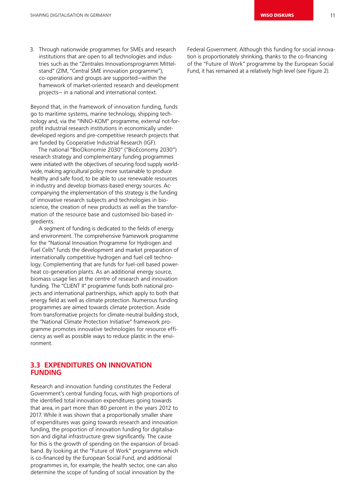3. Through nationwide programmes for SMEs and research institutions that are open to all technologies and industries such as the "Zentrales Innovationsprogramm Mittelstand" (ZIM, "Central SME innovation programme"), co-operations and groups are supported—within the framework of market-oriented research and development projects— in a national and international context.

Beyond that, in the framework of innovation funding, funds go to maritime systems, marine technology, shipping technology and, via the "INNO-KOM" programme, external not-forprofit industrial research institutions in economically underdeveloped regions and pre-competitive research projects that are funded by Cooperative Industrial Research (IGF).

The national "BioOkonomie 2030" ("BioEconomy 2030") research strategy and complementary funding programmes were initiated with the objectives of securing food supply worldwide, making agricultural policy more sustainable to produce healthy and safe food, to be able to use renewable resources in industry and develop biomass-based energy sources. Accompanying the implementation of this strategy is the funding of innovative research subjects and technologies in bioscience, the creation of new products as well as the transformation of the resource base and customised bio-based ingredients.

A segment of funding is dedicated to the fields of energy and environment. The comprehensive framework programme for the "National Innovation Programme for Hydrogen and Fuel Cells" funds the development and market preparation of internationally competitive hydrogen and fuel cell technology. Complementing that are funds for fuel-cell based powerheat co-generation plants. As an additional energy source, biomass usage lies at the centre of research and innovation funding. The "CLIENT II" programme funds both national projects and international partnerships, which apply to both that energy field as well as climate protection. Numerous funding programmes are aimed towards climate protection. Aside from transformative projects for climate-neutral building stock, the "National Climate Protection Initiative" framework programme promotes innovative technologies for resource efficiency as well as possible ways to reduce plastic in the environment.

#### **3.3 EXPENDITURES ON INNOVATION FUNDING**

Research and innovation funding constitutes the Federal Government's central funding focus, with high proportions of the identified total innovation expenditures going towards that area, in part more than 80 percent in the years 2012 to 2017. While it was shown that a proportionally smaller share of expenditures was going towards research and innovation funding, the proportion of innovation funding for digitalisation and digital infrastructure grew significantly. The cause for this is the growth of spending on the expansion of broadband. By looking at the "Future of Work" programme which is co-financed by the European Social Fund, and additional programmes in, for example, the health sector, one can also determine the scope of funding of social innovation by the

Federal Government. Although this funding for social innovation is proportionately shrinking, thanks to the co-financing of the "Future of Work" programme by the European Social Fund, it has remained at a relatively high level (see Figure 2).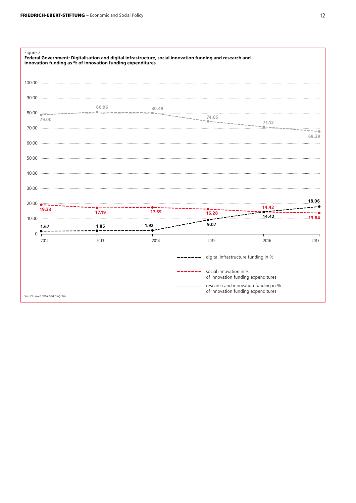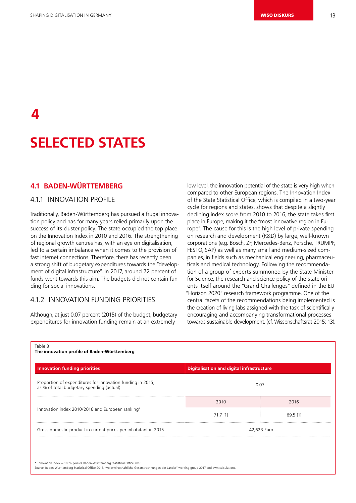# **4 SELECTED STATES**

### **4.1 BADEN-WÜRTTEMBERG**

#### 4.1.1 INNOVATION PROFILE

Traditionally, Baden-Württemberg has pursued a frugal innovation policy and has for many years relied primarily upon the success of its cluster policy. The state occupied the top place on the Innovation Index in 2010 and 2016. The strengthening of regional growth centres has, with an eye on digitalisation, led to a certain imbalance when it comes to the provision of fast internet connections. Therefore, there has recently been a strong shift of budgetary expenditures towards the "development of digital infrastructure". In 2017, around 72 percent of funds went towards this aim. The budgets did not contain funding for social innovations.

### 4.1.2 INNOVATION FUNDING PRIORITIES

Although, at just 0.07 percent (2015) of the budget, budgetary expenditures for innovation funding remain at an extremely

low level, the innovation potential of the state is very high when compared to other European regions. The Innovation Index of the State Statistical Office, which is compiled in a two-year cycle for regions and states, shows that despite a slightly declining index score from 2010 to 2016, the state takes first place in Europe, making it the "most innovative region in Europe". The cause for this is the high level of private spending on research and development (R&D) by large, well-known corporations (e.g. Bosch, ZF, Mercedes-Benz, Porsche, TRUMPF, FESTO, SAP) as well as many small and medium-sized companies, in fields such as mechanical engineering, pharmaceuticals and medical technology. Following the recommendation of a group of experts summoned by the State Minister for Science, the research and science policy of the state orients itself around the "Grand Challenges" defined in the EU "Horizon 2020" research framework programme. One of the central facets of the recommendations being implemented is the creation of living labs assigned with the task of scientifically encouraging and accompanying transformational processes towards sustainable development. (cf. Wissenschaftsrat 2015: 13).

| Table 3<br>The innovation profile of Baden-Württemberg                                                  |                                                  |             |  |
|---------------------------------------------------------------------------------------------------------|--------------------------------------------------|-------------|--|
| <b>Innovation funding priorities</b>                                                                    | <b>Digitalisation and digital infrastructure</b> |             |  |
| Proportion of expenditures for innovation funding in 2015,<br>as % of total budgetary spending (actual) | 0.07                                             |             |  |
|                                                                                                         | 2010                                             | 2016        |  |
| Innovation index 2010/2016 and European ranking*                                                        | $71.7$ [1]                                       | 69.5 [1]    |  |
| Gross domestic product in current prices per inhabitant in 2015                                         |                                                  | 42,623 Euro |  |
|                                                                                                         |                                                  |             |  |

Innovation Index = 100% (value), Baden-Württemberg Statistical Office 2016

Source: Baden-Württemberg Statistical Office 2016, "Volkswirtschaftliche Gesamtrechnungen der Länder" working group 2017 and own calculations.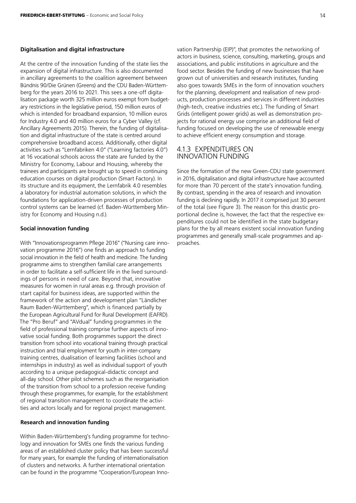#### **Digitalisation and digital infrastructure**

At the centre of the innovation funding of the state lies the expansion of digital infrastructure. This is also documented in ancillary agreements to the coalition agreement between Bündnis 90/Die Grünen (Greens) and the CDU Baden-Württemberg for the years 2016 to 2021. This sees a one-off digitalisation package worth 325 million euros exempt from budgetary restrictions in the legislative period, 150 million euros of which is intended for broadband expansion, 10 million euros for Industry 4.0 and 40 million euros for a Cyber Valley (cf. Ancillary Agreements 2015). Therein, the funding of digitalisation and digital infrastructure of the state is centred around comprehensive broadband access. Additionally, other digital activities such as "Lernfabriken 4.0" ("Learning factories 4.0") at 16 vocational schools across the state are funded by the Ministry for Economy, Labour and Housing, whereby the trainees and participants are brought up to speed in continuing education courses on digital production (Smart Factory). In its structure and its equipment, the Lernfabrik 4.0 resembles a laboratory for industrial automation solutions, in which the foundations for application-driven processes of production control systems can be learned (cf. Baden-Württemberg Ministry for Economy and Housing n.d.).

#### **Social innovation funding**

With "Innovationsprogramm Pflege 2016" ("Nursing care innovation programme 2016") one finds an approach to funding social innovation in the field of health and medicine. The funding programme aims to strengthen familial care arrangements in order to facilitate a self-sufficient life in the lived surroundings of persons in need of care. Beyond that, innovative measures for women in rural areas e.g. through provision of start capital for business ideas, are supported within the framework of the action and development plan "Ländlicher Raum Baden-Württemberg", which is financed partially by the European Agricultural Fund for Rural Development (EAFRD). The "Pro Beruf" and "AVdual" funding programmes in the field of professional training comprise further aspects of innovative social funding. Both programmes support the direct transition from school into vocational training through practical instruction and trial employment for youth in inter-company training centres, dualisation of learning facilities (school and internships in industry) as well as individual support of youth according to a unique pedagogical-didactic concept and all-day school. Other pilot schemes such as the reorganisation of the transition from school to a profession receive funding through these programmes, for example, for the establishment of regional transition management to coordinate the activities and actors locally and for regional project management.

#### **Research and innovation funding**

Within Baden-Württemberg's funding programme for technology and innovation for SMEs one finds the various funding areas of an established cluster policy that has been successful for many years, for example the funding of internationalisation of clusters and networks. A further international orientation can be found in the programme "Cooperation/European Innovation Partnership (EIP)", that promotes the networking of actors in business, science, consulting, marketing, groups and associations, and public institutions in agriculture and the food sector. Besides the funding of new businesses that have grown out of universities and research institutes, funding also goes towards SMEs in the form of innovation vouchers for the planning, development and realisation of new products, production processes and services in different industries (high-tech, creative industries etc.). The funding of Smart Grids (intelligent power grids) as well as demonstration projects for rational energy use comprise an additional field of funding focused on developing the use of renewable energy to achieve efficient energy consumption and storage.

#### 4.1.3 EXPENDITURES ON INNOVATION FUNDING

Since the formation of the new Green-CDU state government in 2016, digitalisation and digital infrastructure have accounted for more than 70 percent of the state's innovation funding. By contrast, spending in the area of research and innovation funding is declining rapidly. In 2017 it comprised just 30 percent of the total (see Figure 3). The reason for this drastic proportional decline is, however, the fact that the respective expenditures could not be identified in the state budgetary plans for the by all means existent social innovation funding programmes and generally small-scale programmes and approaches.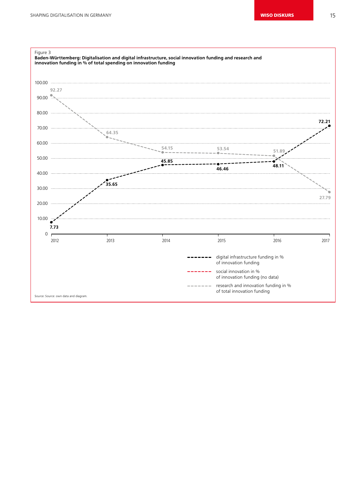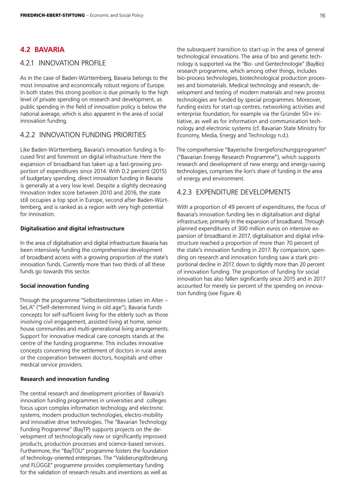#### **4.2 BAVARIA**

#### 4.2.1 INNOVATION PROFILE

As in the case of Baden-Württemberg, Bavaria belongs to the most innovative and economically robust regions of Europe. In both states this strong position is due primarily to the high level of private spending on research and development, as public spending in the field of innovation policy is below the national average, which is also apparent in the area of social innovation funding.

#### 4.2.2 INNOVATION FUNDING PRIORITIES

Like Baden-Württemberg, Bavaria's innovation funding is focused first and foremost on digital infrastructure. Here the expansion of broadband has taken up a fast-growing proportion of expenditures since 2014. With 0.2 percent (2015) of budgetary spending, direct innovation funding in Bavaria is generally at a very low level. Despite a slightly decreasing Innovation Index score between 2010 and 2016, the state still occupies a top spot in Europe, second after Baden-Württemberg, and is ranked as a region with very high potential for innovation.

#### **Digitalisation and digital infrastructure**

In the area of digitalisation and digital infrastructure Bavaria has been intensively funding the comprehensive development of broadband access with a growing proportion of the state's innovation funds. Currently more than two thirds of all these funds go towards this sector.

#### **Social innovation funding**

Through the programme "Selbstbestimmtes Leben im Alter – SeLA" ("Self-determined living in old age"), Bavaria funds concepts for self-sufficient living for the elderly such as those involving civil engagement, assisted living at home, senior house communities and multi-generational living arrangements. Support for innovative medical care concepts stands at the centre of the funding programme. This includes innovative concepts concerning the settlement of doctors in rural areas or the cooperation between doctors, hospitals and other medical service providers.

#### **Research and innovation funding**

The central research and development priorities of Bavaria's innovation funding programmes in universities and colleges focus upon complex information technology and electronic systems, modern production technologies, electro-mobility and innovative drive technologies. The "Bavarian Technology Funding Programme" (BayTP) supports projects on the development of technologically new or significantly improved products, production processes and science-based services. Furthermore, the "BayTOU" programme fosters the foundation of technology-oriented enterprises. The "Validierungsförderung und FLÜGGE" programme provides complementary funding for the validation of research results and inventions as well as

the subsequent transition to start-up in the area of general technological innovations. The area of bio and genetic technology is supported via the "Bio- und Gentechnologie" (BayBio) research programme, which among other things, includes bio-process technologies, biotechnological production processes and biomaterials. Medical technology and research, development and testing of modern materials and new process technologies are funded by special programmes. Moreover, funding exists for start-up centres, networking activities and enterprise foundation, for example via the Gründer 50+ initiative, as well as for information and communication technology and electronic systems (cf. Bavarian State Ministry for Economy, Media, Energy and Technology n.d.).

The comprehensive "Bayerische Energieforschungsprogramm" ("Bavarian Energy Research Programme"), which supports research and development of new energy and energy-saving technologies, comprises the lion's share of funding in the area of energy and environment.

#### 4.2.3 EXPENDITURE DEVELOPMENTS

With a proportion of 49 percent of expenditures, the focus of Bavaria's innovation funding lies in digitalisation and digital infrastructure, primarily in the expansion of broadband. Through planned expenditures of 300 million euros on intensive expansion of broadband in 2017, digitalisation and digital infrastructure reached a proportion of more than 70 percent of the state's innovation funding in 2017. By comparison, spending on research and innovation funding saw a stark proportional decline in 2017, down to slightly more than 20 percent of innovation funding. The proportion of funding for social innovation has also fallen significantly since 2015 and in 2017 accounted for merely six percent of the spending on innovation funding (see Figure 4).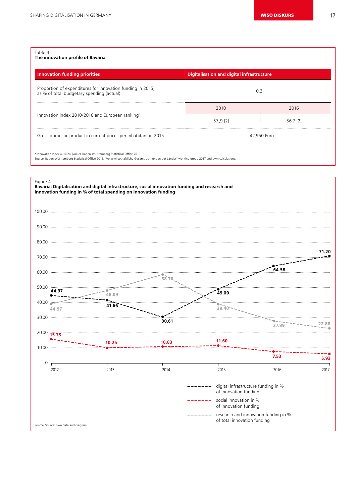#### **The innovation profile of Bavaria**

| <b>Innovation funding priorities</b>                                                                 | <b>Digitalisation and digital infrastructure</b> |          |
|------------------------------------------------------------------------------------------------------|--------------------------------------------------|----------|
| Proportion of expenditures for innovation funding in 2015, as % of total budgetary spending (actual) | 0.2                                              |          |
|                                                                                                      | 2010                                             | 2016     |
| Innovation index 2010/2016 and European ranking*                                                     | $57.9$ [2]                                       | 56.7 [2] |
| Gross domestic product in current prices per inhabitant in 2015                                      | 42.950 Euro                                      |          |

\* Innovation Index = 100% (value), Baden-Württemberg Statistical Office 2016.

Source: Baden-Württemberg Statistical Office 2016, "Volkswirtschaftliche Gesamtrechnungen der Länder" working group 2017 and own calculations.

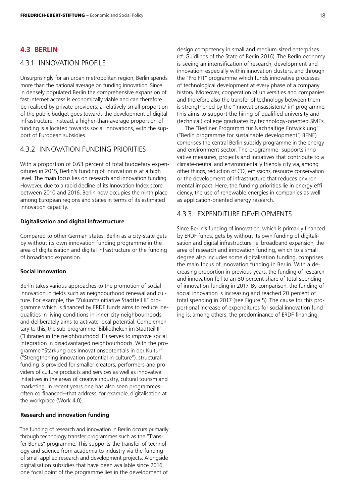#### **4.3 BERLIN**

#### 4.3.1 INNOVATION PROFILE

Unsurprisingly for an urban metropolitan region, Berlin spends more than the national average on funding innovation. Since in densely populated Berlin the comprehensive expansion of fast internet access is economically viable and can therefore be realised by private providers, a relatively small proportion of the public budget goes towards the development of digital infrastructure. Instead, a higher-than-average proportion of funding is allocated towards social innovations, with the support of European subsidies.

#### 4.3.2 INNOVATION FUNDING PRIORITIES

With a proportion of 0.63 percent of total budgetary expenditures in 2015, Berlin's funding of innovation is at a high level. The main focus lies on research and innovation funding. However, due to a rapid decline of its Innovation Index score between 2010 and 2016, Berlin now occupies the ninth place among European regions and states in terms of its estimated innovation capacity.

#### **Digitalisation and digital infrastructure**

Compared to other German states, Berlin as a city-state gets by without its own innovation funding programme in the area of digitalisation and digital infrastructure or the funding of broadband expansion.

#### **Social innovation**

Berlin takes various approaches to the promotion of social innovation in fields such as neighbourhood renewal and culture. For example, the "Zukunftsinitiative Stadtteil II" programme which is financed by ERDF funds aims to reduce inequalities in living conditions in inner-city neighbourhoods and deliberately aims to activate local potential. Complementary to this, the sub-programme "Bibliotheken im Stadtteil II" ("Libraries in the neighbourhood II") serves to improve social integration in disadvantaged neighbourhoods. With the programme "Stärkung des Innovationspotentials in der Kultur" ("Strengthening innovation potential in culture"), structural funding is provided for smaller creators, performers and providers of culture products and services as well as innovative initiatives in the areas of creative industry, cultural tourism and marketing. In recent years one has also seen programmes– often co-financed—that address, for example, digitalisation at the workplace (Work 4.0).

#### **Research and innovation funding**

The funding of research and innovation in Berlin occurs primarily through technology transfer programmes such as the "Transfer Bonus" programme. This supports the transfer of technology and science from academia to industry via the funding of small applied research and development projects. Alongside digitalisation subsidies that have been available since 2016, one focal point of the programme lies in the development of

design competency in small and medium-sized enterprises (cf. Guidlines of the State of Berlin 2016). The Berlin economy is seeing an intensification of research, development and innovation, especially within innovation clusters, and through the "Pro FIT" programme which funds innovative processes of technological development at every phase of a company history. Moreover, cooperation of universities and companies and therefore also the transfer of technology between them is strengthened by the "Innovationsassistent/-in" programme. This aims to support the hiring of qualified university and (technical) college graduates by technology-oriented SMEs.

The "Berliner Programm für Nachhaltige Entwicklung" ("Berlin programme for sustainable development", BENE) comprises the central Berlin subsidy programme in the energy and environment sector. The programme supports innovative measures, projects and initiatives that contribute to a climate-neutral and environmentally friendly city via, among other things, reduction of  $CO<sub>2</sub>$  emissions, resource conservation or the development of infrastructure that reduces environmental impact. Here, the funding priorities lie in energy efficiency, the use of renewable energies in companies as well as application-oriented energy research.

#### 4.3.3. EXPENDITURE DEVELOPMENTS

Since Berlin's funding of innovation, which is primarily financed by ERDF funds, gets by without its own funding of digitalisation and digital infrastructure i.e. broadband expansion, the area of research and innovation funding, which to a small degree also includes some digitalisation funding, comprises the main focus of innovation funding in Berlin. With a decreasing proportion in previous years, the funding of research and innovation fell to an 80 percent share of total spending of innovation funding in 2017. By comparison, the funding of social innovation is increasing and reached 20 percent of total spending in 2017 (see Figure 5). The cause for this proportional increase of expenditures for social innovation funding is, among others, the predominance of ERDF financing.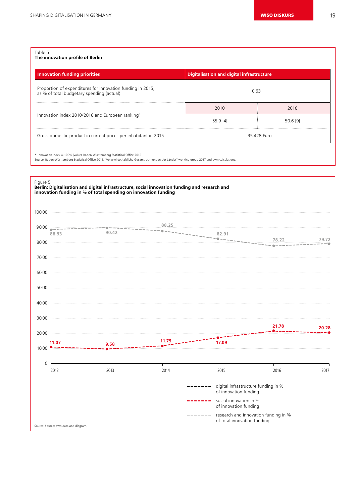| <b>Innovation funding priorities</b>                                                                 | Digitalisation and digital infrastructure |             |
|------------------------------------------------------------------------------------------------------|-------------------------------------------|-------------|
| Proportion of expenditures for innovation funding in 2015, as % of total budgetary spending (actual) | 0.63                                      |             |
|                                                                                                      | 2010                                      | 2016        |
| Innovation index 2010/2016 and European ranking*                                                     | 55.9 [4]                                  | $50.6$ [9]  |
| Gross domestic product in current prices per inhabitant in 2015                                      |                                           | 35,428 Euro |

\* Innovation Index = 100% (value), Baden-Württemberg Statistical Office 2016.

Source: Baden-Württemberg Statistical Office 2016, "Volkswirtschaftliche Gesamtrechnungen der Länder" working group 2017 and own calculations.

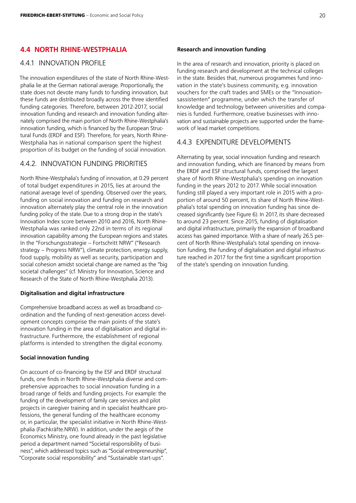#### **4.4 NORTH RHINE-WESTPHALIA**

#### 4.4.1 INNOVATION PROFILE

The innovation expenditures of the state of North Rhine-Westphalia lie at the German national average. Proportionally, the state does not devote many funds to funding innovation, but these funds are distributed broadly across the three identified funding categories. Therefore, between 2012-2017, social innovation funding and research and innovation funding alternately comprised the main portion of North Rhine-Westphalia's innovation funding, which is financed by the European Structural Funds (ERDF and ESF). Therefore, for years, North Rhine-Westphalia has in national comparison spent the highest proportion of its budget on the funding of social innovation.

#### 4.4.2. INNOVATION FUNDING PRIORITIES

North Rhine-Westphalia's funding of innovation, at 0.29 percent of total budget expenditures in 2015, lies at around the national average level of spending. Observed over the years, funding on social innovation and funding on research and innovation alternately play the central role in the innovation funding policy of the state. Due to a strong drop in the state's Innovation Index score between 2010 and 2016, North Rhine-Westphalia was ranked only 22nd in terms of its regional innovation capability among the European regions and states. In the "Forschungsstrategie – Fortschritt NRW" ("Research strategy – Progress NRW"), climate protection, energy supply, food supply, mobility as well as security, participation and social cohesion amidst societal change are named as the "big societal challenges" (cf. Ministry for Innovation, Science and Research of the State of North Rhine-Westphalia 2013).

#### **Digitalisation and digital infrastructure**

Comprehensive broadband access as well as broadband coordination and the funding of next-generation access development concepts comprise the main points of the state's innovation funding in the area of digitalisation and digital infrastructure. Furthermore, the establishment of regional platforms is intended to strengthen the digital economy.

#### **Social innovation funding**

On account of co-financing by the ESF and ERDF structural funds, one finds in North Rhine-Westphalia diverse and comprehensive approaches to social innovation funding in a broad range of fields and funding projects. For example: the funding of the development of family care services and pilot projects in caregiver training and in specialist healthcare professions, the general funding of the healthcare economy or, in particular, the specialist initiative in North Rhine-Westphalia (Fachkräfte.NRW). In addition, under the aegis of the Economics Ministry, one found already in the past legislative period a department named "Societal responsibility of business", which addressed topics such as "Social entrepreneurship", "Corporate social responsibility" and "Sustainable start-ups".

#### **Research and innovation funding**

In the area of research and innovation, priority is placed on funding research and development at the technical colleges in the state. Besides that, numerous programmes fund innovation in the state's business community, e.g. innovation vouchers for the craft trades and SMEs or the "Innovationsassistenten" programme, under which the transfer of knowledge and technology between universities and companies is funded. Furthermore, creative businesses with innovation and sustainable projects are supported under the framework of lead market competitions.

#### 4.4.3 EXPENDITURE DEVELOPMENTS

Alternating by year, social innovation funding and research and innovation funding, which are financed by means from the ERDF and ESF structural funds, comprised the largest share of North Rhine-Westphalia's spending on innovation funding in the years 2012 to 2017. While social innovation funding still played a very important role in 2015 with a proportion of around 50 percent, its share of North Rhine-Westphalia's total spending on innovation funding has since decreased significantly (see Figure 6). In 2017, its share decreased to around 23 percent. Since 2015, funding of digitalisation and digital infrastructure, primarily the expansion of broadband access has gained importance. With a share of nearly 26.5 percent of North Rhine-Westphalia's total spending on innovation funding, the funding of digitalisation and digital infrastructure reached in 2017 for the first time a significant proportion of the state's spending on innovation funding.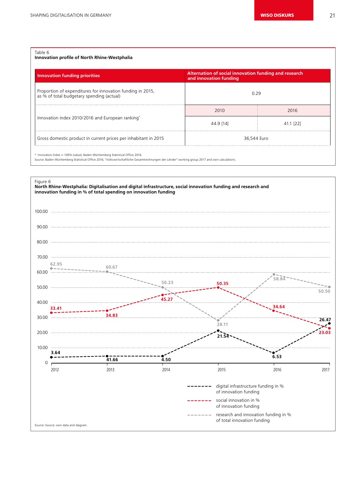Table 6

#### **Innovation profile of North Rhine-Westphalia**

| Innovation funding priorities                                                                        | Alternation of social innovation funding and research<br>and innovation funding |           |
|------------------------------------------------------------------------------------------------------|---------------------------------------------------------------------------------|-----------|
| Proportion of expenditures for innovation funding in 2015, as % of total budgetary spending (actual) |                                                                                 | 0.29      |
|                                                                                                      | 2010                                                                            | 2016      |
| Innovation index 2010/2016 and European ranking*                                                     | 44.9 [14]                                                                       | 41.1 [22] |
| Gross domestic product in current prices per inhabitant in 2015                                      | 36,544 Euro                                                                     |           |

\* Innovation Index = 100% (value), Baden-Württemberg Statistical Office 2016.

Source: Baden-Württemberg Statistical Office 2016, "Volkswirtschaftliche Gesamtrechnungen der Länder" working group 2017 and own calculations.

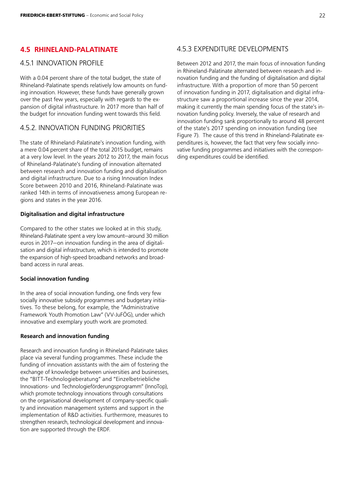#### **4.5 RHINELAND-PALATINATE**

#### 4.5.1 INNOVATION PROFILE

With a 0.04 percent share of the total budget, the state of Rhineland-Palatinate spends relatively low amounts on funding innovation. However, these funds have generally grown over the past few years, especially with regards to the expansion of digital infrastructure. In 2017 more than half of the budget for innovation funding went towards this field.

#### 4.5.2. INNOVATION FUNDING PRIORITIES

The state of Rhineland-Palatinate's innovation funding, with a mere 0.04 percent share of the total 2015 budget, remains at a very low level. In the years 2012 to 2017, the main focus of Rhineland-Palatinate's funding of innovation alternated between research and innovation funding and digitalisation and digital infrastructure. Due to a rising Innovation Index Score between 2010 and 2016, Rhineland-Palatinate was ranked 14th in terms of innovativeness among European regions and states in the year 2016.

#### **Digitalisation and digital infrastructure**

Compared to the other states we looked at in this study, Rhineland-Palatinate spent a very low amount—around 30 million euros in 2017—on innovation funding in the area of digitalisation and digital infrastructure, which is intended to promote the expansion of high-speed broadband networks and broadband access in rural areas.

#### **Social innovation funding**

In the area of social innovation funding, one finds very few socially innovative subsidy programmes and budgetary initiatives. To these belong, for example, the "Administrative Framework Youth Promotion Law" (VV-JuFÖG), under which innovative and exemplary youth work are promoted.

#### **Research and innovation funding**

Research and innovation funding in Rhineland-Palatinate takes place via several funding programmes. These include the funding of innovation assistants with the aim of fostering the exchange of knowledge between universities and businesses, the "BITT-Technologieberatung" and "Einzelbetriebliche Innovations- und Technologieförderungsprogramm" (InnoTop), which promote technology innovations through consultations on the organisational development of company-specific quality and innovation management systems and support in the implementation of R&D activities. Furthermore, measures to strengthen research, technological development and innovation are supported through the ERDF.

#### 4.5.3 EXPENDITURE DEVELOPMENTS

Between 2012 and 2017, the main focus of innovation funding in Rhineland-Palatinate alternated between research and innovation funding and the funding of digitalisation and digital infrastructure. With a proportion of more than 50 percent of innovation funding in 2017, digitalisation and digital infrastructure saw a proportional increase since the year 2014, making it currently the main spending focus of the state's innovation funding policy. Inversely, the value of research and innovation funding sank proportionally to around 48 percent of the state's 2017 spending on innovation funding (see Figure 7). The cause of this trend in Rhineland-Palatinate expenditures is, however, the fact that very few socially innovative funding programmes and initiatives with the corresponding expenditures could be identified.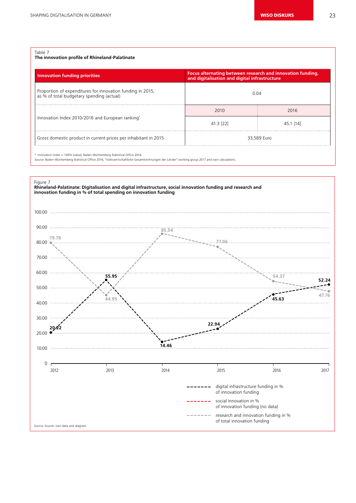Table 7

#### **The innovation profile of Rhineland-Palatinate**

| Innovation funding priorities                                                                        | Focus alternating between research and innovation funding,<br>and digitalisation and digital infrastructure |           |
|------------------------------------------------------------------------------------------------------|-------------------------------------------------------------------------------------------------------------|-----------|
| Proportion of expenditures for innovation funding in 2015, as % of total budgetary spending (actual) | 0 04                                                                                                        |           |
|                                                                                                      | 2010                                                                                                        | 2016      |
| Innovation Index 2010/2016 and European ranking*                                                     | 41.3 [22]                                                                                                   | 45.1 [14] |
| Gross domestic product in current prices per inhabitant in 2015                                      | 33.589 Euro                                                                                                 |           |

\* Innovation Index = 100% (value), Baden-Württemberg Statistical Office 2016.

Source: Baden-Württemberg Statistical Office 2016, "Volkswirtschaftliche Gesamtrechnungen der Länder" working group 2017 and own calculations.

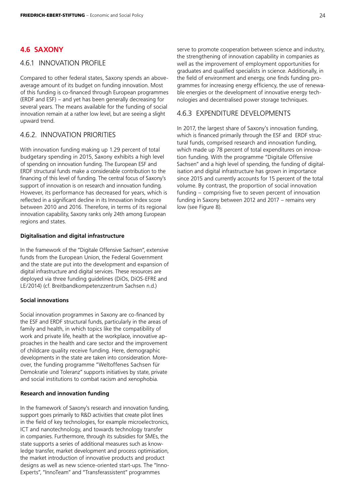#### **4.6 SAXONY**

#### 4.6.1 INNOVATION PROFILE

Compared to other federal states, Saxony spends an aboveaverage amount of its budget on funding innovation. Most of this funding is co-financed through European programmes (ERDF and ESF) – and yet has been generally decreasing for several years. The means available for the funding of social innovation remain at a rather low level, but are seeing a slight upward trend.

#### 4.6.2. INNOVATION PRIORITIES

With innovation funding making up 1.29 percent of total budgetary spending in 2015, Saxony exhibits a high level of spending on innovation funding. The European ESF and ERDF structural funds make a considerable contribution to the financing of this level of funding. The central focus of Saxony's support of innovation is on research and innovation funding. However, its performance has decreased for years, which is reflected in a significant decline in its Innovation Index score between 2010 and 2016. Therefore, in terms of its regional innovation capability, Saxony ranks only 24th among European regions and states.

#### **Digitalisation and digital infrastructure**

In the framework of the "Digitale Offensive Sachsen", extensive funds from the European Union, the Federal Government and the state are put into the development and expansion of digital infrastructure and digital services. These resources are deployed via three funding guidelines (DiOs, DiOS-EFRE and LE/2014) (cf. Breitbandkompetenzzentrum Sachsen n.d.)

#### **Social innovations**

Social innovation programmes in Saxony are co-financed by the ESF and ERDF structural funds, particularly in the areas of family and health, in which topics like the compatibility of work and private life, health at the workplace, innovative approaches in the health and care sector and the improvement of childcare quality receive funding. Here, demographic developments in the state are taken into consideration. Moreover, the funding programme "Weltoffenes Sachsen für Demokratie und Toleranz" supports initiatives by state, private and social institutions to combat racism and xenophobia.

#### **Research and innovation funding**

In the framework of Saxony's research and innovation funding, support goes primarily to R&D activities that create pilot lines in the field of key technologies, for example microelectronics, ICT and nanotechnology, and towards technology transfer in companies. Furthermore, through its subsidies for SMEs, the state supports a series of additional measures such as knowledge transfer, market development and process optimisation, the market introduction of innovative products and product designs as well as new science-oriented start-ups. The "Inno-Experts", "InnoTeam" and "Transferassistent" programmes

serve to promote cooperation between science and industry, the strengthening of innovation capability in companies as well as the improvement of employment opportunities for graduates and qualified specialists in science. Additionally, in the field of environment and energy, one finds funding programmes for increasing energy efficiency, the use of renewable energies or the development of innovative energy technologies and decentralised power storage techniques.

#### 4.6.3 EXPENDITURE DEVELOPMENTS

In 2017, the largest share of Saxony's innovation funding, which is financed primarily through the ESF and ERDF structural funds, comprised research and innovation funding, which made up 78 percent of total expenditures on innovation funding. With the programme "Digitale Offensive Sachsen" and a high level of spending, the funding of digitalisation and digital infrastructure has grown in importance since 2015 and currently accounts for 15 percent of the total volume. By contrast, the proportion of social innovation funding – comprising five to seven percent of innovation funding in Saxony between 2012 and 2017 – remains very low (see Figure 8).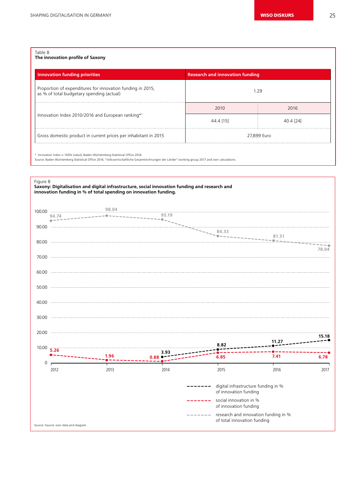#### **The innovation profile of Saxony**

| <b>Innovation funding priorities</b>                                                                 | <b>Research and innovation funding</b> |           |
|------------------------------------------------------------------------------------------------------|----------------------------------------|-----------|
| Proportion of expenditures for innovation funding in 2015, as % of total budgetary spending (actual) |                                        | 1.29      |
|                                                                                                      | 2010                                   | 2016      |
| Innovation Index 2010/2016 and European ranking**                                                    | 44.4 [15]                              | 40.4 [24] |
| Gross domestic product in current prices per inhabitant in 2015<br>27,899 Euro                       |                                        |           |

\* Innovation Index = 100% (value), Baden-Württemberg Statistical Office 2016.

Source: Baden-Württemberg Statistical Office 2016, "Volkswirtschaftliche Gesamtrechnungen der Länder" working group 2017 and own calculations.

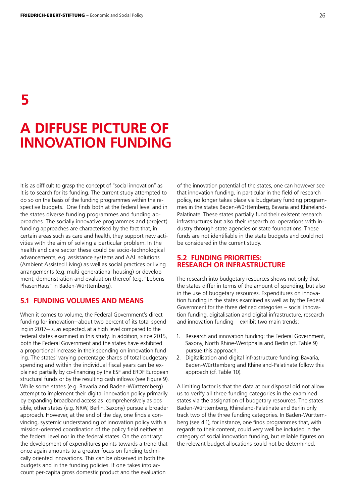## **A DIFFUSE PICTURE OF INNOVATION FUNDING**

It is as difficult to grasp the concept of "social innovation" as it is to search for its funding. The current study attempted to do so on the basis of the funding programmes within the respective budgets. One finds both at the federal level and in the states diverse funding programmes and funding approaches. The socially innovative programmes and (project) funding approaches are characterised by the fact that, in certain areas such as care and health, they support new activities with the aim of solving a particular problem. In the health and care sector these could be socio-technological advancements, e.g. assistance systems and AAL solutions (Ambient Assisted Living) as well as social practices or living arrangements (e.g. multi-generational housing) or development, demonstration and evaluation thereof (e.g. "Lebens-PhasenHaus" in Baden-Württemberg).

#### **5.1 FUNDING VOLUMES AND MEANS**

When it comes to volume, the Federal Government's direct funding for innovation—about two percent of its total spending in 2017—is, as expected, at a high level compared to the federal states examined in this study. In addition, since 2015, both the Federal Government and the states have exhibited a proportional increase in their spending on innovation funding. The states' varying percentage shares of total budgetary spending and within the individual fiscal years can be explained partially by co-financing by the ESF and ERDF European structural funds or by the resulting cash inflows (see Figure 9). While some states (e.g. Bavaria and Baden-Württemberg) attempt to implement their digital innovation policy primarily by expanding broadband access as comprehensively as possible, other states (e.g. NRW, Berlin, Saxony) pursue a broader approach. However, at the end of the day, one finds a convincing, systemic understanding of innovation policy with a mission-oriented coordination of the policy field neither at the federal level nor in the federal states. On the contrary: the development of expenditures points towards a trend that once again amounts to a greater focus on funding technically oriented innovations. This can be observed in both the budgets and in the funding policies. If one takes into account per-capita gross domestic product and the evaluation

of the innovation potential of the states, one can however see that innovation funding, in particular in the field of research policy, no longer takes place via budgetary funding programmes in the states Baden-Württemberg, Bavaria and Rhineland-Palatinate. These states partially fund their existent research infrastructures but also their research co-operations with industry through state agencies or state foundations. These funds are not identifiable in the state budgets and could not be considered in the current study.

#### **5.2 FUNDING PRIORITIES: RESEARCH OR INFRASTRUCTURE**

The research into budgetary resources shows not only that the states differ in terms of the amount of spending, but also in the use of budgetary resources. Expenditures on innovation funding in the states examined as well as by the Federal Government for the three defined categories – social innovation funding, digitalisation and digital infrastructure, research and innovation funding – exhibit two main trends:

- 1. Research and innovation funding: the Federal Government, Saxony, North Rhine-Westphalia and Berlin (cf. Table 9) pursue this approach.
- 2. Digitalisation and digital infrastructure funding: Bavaria, Baden-Württemberg and Rhineland-Palatinate follow this approach (cf. Table 10).

A limiting factor is that the data at our disposal did not allow us to verify all three funding categories in the examined states via the assignation of budgetary resources. The states Baden-Württemberg, Rhineland-Palatinate and Berlin only track two of the three funding categories. In Baden-Württemberg (see 4.1), for instance, one finds programmes that, with regards to their content, could very well be included in the category of social innovation funding, but reliable figures on the relevant budget allocations could not be determined.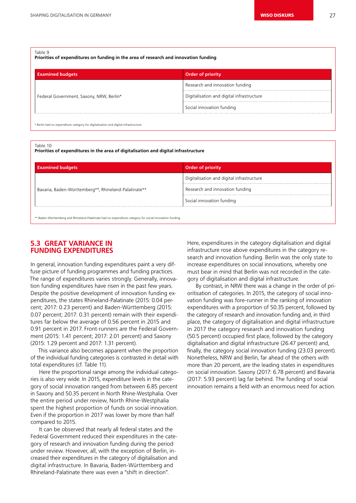Table 9

**Priorities of expenditures on funding in the area of research and innovation funding**

| <b>Examined budgets</b>                                                             | <b>Order of priority</b>                  |
|-------------------------------------------------------------------------------------|-------------------------------------------|
|                                                                                     | Research and innovation funding           |
| Federal Government, Saxony, NRW, Berlin*                                            | Digitalisation and digital infrastructure |
|                                                                                     | Social innovation funding                 |
| * Berlin had no expenditure category for digitalisation and digital infrastructure. |                                           |

#### Table 10

**Priorities of expenditures in the area of digitalisation and digital infrastructure**

| <b>Examined budgets</b>                              | <b>Order of priority</b>                  |
|------------------------------------------------------|-------------------------------------------|
|                                                      | Digitalisation and digital infrastructure |
| Bavaria, Baden-Württemberg**, Rhineland-Palatinate** | Research and innovation funding           |
|                                                      | Social innovation funding                 |

#### **5.3 GREAT VARIANCE IN FUNDING EXPENDITURES**

In general, innovation funding expenditures paint a very diffuse picture of funding programmes and funding practices. The range of expenditures varies strongly. Generally, innovation funding expenditures have risen in the past few years. Despite the positive development of innovation funding expenditures, the states Rhineland-Palatinate (2015: 0.04 percent; 2017: 0.23 percent) and Baden-Württemberg (2015: 0.07 percent; 2017: 0.31 percent) remain with their expenditures far below the average of 0.56 percent in 2015 and 0.91 percent in 2017. Front-runners are the Federal Government (2015: 1.41 percent; 2017: 2.01 percent) and Saxony (2015: 1.29 percent and 2017: 1.31 percent).

This variance also becomes apparent when the proportion of the individual funding categories is contrasted in detail with total expenditures (cf. Table 11).

Here the proportional range among the individual categories is also very wide. In 2015, expenditure levels in the category of social innovation ranged from between 6.85 percent in Saxony and 50.35 percent in North Rhine-Westphalia. Over the entire period under review, North Rhine-Westphalia spent the highest proportion of funds on social innovation. Even if the proportion in 2017 was lower by more than half compared to 2015.

It can be observed that nearly all federal states and the Federal Government reduced their expenditures in the category of research and innovation funding during the period under review. However, all, with the exception of Berlin, increased their expenditures in the category of digitalisation and digital infrastructure. In Bavaria, Baden-Württemberg and Rhineland-Palatinate there was even a "shift in direction".

Here, expenditures in the category digitalisation and digital infrastructure rose above expenditures in the category research and innovation funding. Berlin was the only state to increase expenditures on social innovations, whereby one must bear in mind that Berlin was not recorded in the category of digitalisation and digital infrastructure.

By contrast, in NRW there was a change in the order of prioritisation of categories. In 2015, the category of social innovation funding was fore-runner in the ranking of innovation expenditures with a proportion of 50.35 percent, followed by the category of research and innovation funding and, in third place, the category of digitalisation and digital infrastructure In 2017 the category research and innovation funding (50.5 percent) occupied first place, followed by the category digitalisation and digital infrastructure (26.47 percent) and, finally, the category social innovation funding (23.03 percent). Nonetheless, NRW and Berlin, far ahead of the others with more than 20 percent, are the leading states in expenditures on social innovation. Saxony (2017: 6.78 percent) and Bavaria (2017: 5.93 percent) lag far behind. The funding of social innovation remains a field with an enormous need for action.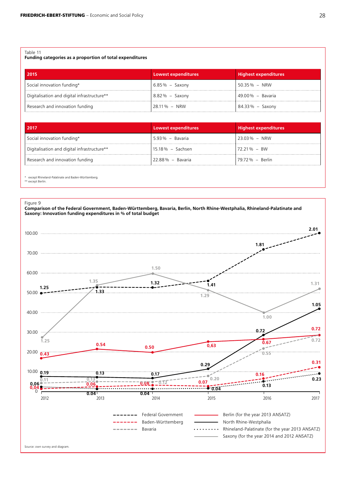Table 11

**Funding categories as a proportion of total expenditures**

| -2015                                       | Lowest expenditures | Highest expenditures |
|---------------------------------------------|---------------------|----------------------|
| Social innovation funding*                  | $6.85\% -$ Saxony   | $50.35\% - NRW$      |
| Digitalisation and digital infrastructure** | $8.82\% -$ Saxony   | 49.00% - Bavaria     |
| Research and innovation funding             | 28.11 % - NRW       | $84.33\% -$ Saxony   |

| 2017                                        | <b>Lowest expenditures</b> | Highest expenditures |
|---------------------------------------------|----------------------------|----------------------|
| Social innovation funding*                  | 5.93 % – Bavaria           | $23.03\% - NRW$      |
| Digitalisation and digital infrastructure** | $15.18\% -$ Sachsen        | $72.21\% - BW$       |
| Research and innovation funding             | 22.88% - Bavaria           | 79.72% - Berlin      |

except Rhineland-Palatinate and Baden-Württemberg

\*\* except Berlin.

Figure 9

**Comparison of the Federal Government, Baden-Württemberg, Bavaria, Berlin, North Rhine-Westphalia, Rhineland-Palatinate and Saxony: Innovation funding expenditures in % of total budget**

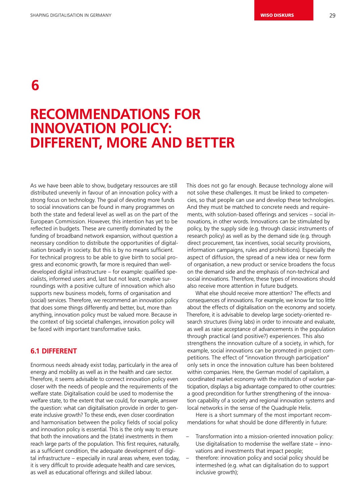## **6**

## **RECOMMENDATIONS FOR INNOVATION POLICY: DIFFERENT, MORE AND BETTER**

As we have been able to show, budgetary ressources are still distributed unevenly in favour of an innovation policy with a strong focus on technology. The goal of devoting more funds to social innovations can be found in many programmes on both the state and federal level as well as on the part of the European Commission. However, this intention has yet to be reflected in budgets. These are currently dominated by the funding of broadband network expansion, without question a necessary condition to distribute the opportunities of digitalisation broadly in society. But this is by no means sufficient. For technical progress to be able to give birth to social progress and economic growth, far more is required than welldeveloped digital infrastructure – for example: qualified specialists, informed users and, last but not least, creative surroundings with a positive culture of innovation which also supports new business models, forms of organisation and (social) services. Therefore, we recommend an innovation policy that does some things differently and better, but, more than anything, innovation policy must be valued more. Because in the context of big societal challenges, innovation policy will be faced with important transformative tasks.

#### **6.1 DIFFERENT**

Enormous needs already exist today, particularly in the area of energy and mobility as well as in the health and care sector. Therefore, it seems advisable to connect innovation policy even closer with the needs of people and the requirements of the welfare state. Digitalisation could be used to modernise the welfare state, to the extent that we could, for example, answer the question: what can digitalisation provide in order to generate inclusive growth? To these ends, even closer coordination and harmonisation between the policy fields of social policy and innovation policy is essential. This is the only way to ensure that both the innovations and the (state) investments in them reach large parts of the population. This first requires, naturally, as a sufficient condition, the adequate development of digital infrastructure – especially in rural areas where, even today, it is very difficult to provide adequate health and care services, as well as educational offerings and skilled labour.

This does not go far enough. Because technology alone will not solve these challenges. It must be linked to competencies, so that people can use and develop these technologies. And they must be matched to concrete needs and requirements, with solution-based offerings and services – social innovations, in other words. Innovations can be stimulated by policy, by the supply side (e.g. through classic instruments of research policy) as well as by the demand side (e.g. through direct procurement, tax incentives, social security provisions, information campaigns, rules and prohibitions). Especially the aspect of diffusion, the spread of a new idea or new form of organisation, a new product or service broadens the focus on the demand side and the emphasis of non-technical and social innovations. Therefore, these types of innovations should also receive more attention in future budgets.

What else should receive more attention? The effects and consequences of innovations. For example, we know far too little about the effects of digitalisation on the economy and society. Therefore, it is advisable to develop large society-oriented research structures (living labs) in order to innovate and evaluate, as well as raise acceptance of advancements in the population through practical (and positive?) experiences. This also strengthens the innovation culture of a society, in which, for example, social innovations can be promoted in project competitions. The effect of "innovation through participation" only sets in once the innovation culture has been bolstered within companies. Here, the German model of capitalism, a coordinated market economy with the institution of worker participation, displays a big advantage compared to other countries: a good precondition for further strengthening of the innovation capability of a society and regional innovation systems and local networks in the sense of the Quadruple Helix.

Here is a short summary of the most important recommendations for what should be done differently in future:

- Transformation into a mission-oriented innovation policy: Use digitalisation to modernise the welfare state – innovations and investments that impact people;
- therefore: innovation policy and social policy should be intermeshed (e.g. what can digitalisation do to support inclusive growth);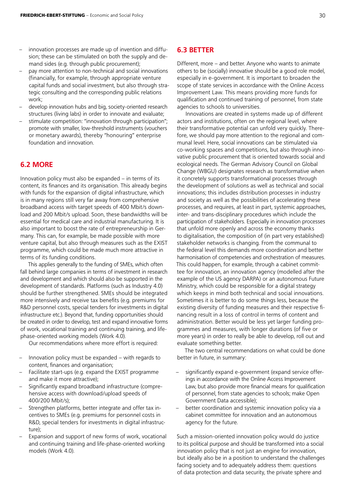- innovation processes are made up of invention and diffusion; these can be stimulated on both the supply and demand sides (e.g. through public procurement);
- pay more attention to non-technical and social innovations (financially, for example, through appropriate venture capital funds and social investment, but also through strategic consulting and the corresponding public relations work;
- develop innovation hubs and big, society-oriented research structures (living labs) in order to innovate and evaluate;
- stimulate competition: "innovation through participation"; promote with smaller, low-threshold instruments (vouchers or monetary awards), thereby "honouring" enterprise foundation and innovation.

#### **6.2 MORE**

Innovation policy must also be expanded – in terms of its content, its finances and its organisation. This already begins with funds for the expansion of digital infrastructure, which is in many regions still very far away from comprehensive broadband access with target speeds of 400 Mbit/s download and 200 Mbit/s upload. Soon, these bandwidths will be essential for medical care and industrial manufacturing. It is also important to boost the rate of entrepreneurship in Germany. This can, for example, be made possible with more venture capital, but also through measures such as the EXIST programme, which could be made much more attractive in terms of its funding conditions.

This applies generally to the funding of SMEs, which often fall behind large companies in terms of investment in research and development and which should also be supported in the development of standards. Platforms (such as Industry 4.0) should be further strengthened. SMEs should be integrated more intensively and receive tax benefits (e.g. premiums for R&D personnel costs, special tenders for investments in digital infrastructure etc.). Beyond that, funding opportunities should be created in order to develop, test and expand innovative forms of work, vocational training and continuing training, and lifephase-oriented working models (Work 4.0).

Our recommendations where more effort is required:

- Innovation policy must be expanded with regards to content, finances and organisation;
- Facilitate start-ups (e.g. expand the EXIST programme and make it more attractive);
- Significantly expand broadband infrastructure (comprehensive access with download/upload speeds of 400/200 Mbit/s);
- Strengthen platforms, better integrate and offer tax incentives to SMEs (e.g. premiums for personnel costs in R&D, special tenders for investments in digital infrastructure);
- Expansion and support of new forms of work, vocational and continuing training and life-phase-oriented working models (Work 4.0).

#### **6.3 BETTER**

Different, more – and better. Anyone who wants to animate others to be (socially) innovative should be a good role model, especially in e-government. It is important to broaden the scope of state services in accordance with the Online Access Improvement Law. This means providing more funds for qualification and continued training of personnel, from state agencies to schools to universities.

Innovations are created in systems made up of different actors and institutions, often on the regional level, where their transformative potential can unfold very quickly. Therefore, we should pay more attention to the regional and communal level. Here, social innovations can be stimulated via co-working spaces and competitions, but also through innovative public procurement that is oriented towards social and ecological needs. The German Advisory Council on Global Change (WBGU) designates research as transformative when it concretely supports transformational processes through the development of solutions as well as technical and social innovations; this includes distribution processes in industry and society as well as the possibilities of accelerating these processes, and requires, at least in part, systemic approaches, inter- and trans-disciplinary procedures which include the participation of stakeholders. Especially in innovation processes that unfold more openly and across the economy thanks to digitalisation, the composition of (in part very established) stakeholder networks is changing. From the communal to the federal level this demands more coordination and better harmonisation of competencies and orchestration of measures. This could happen, for example, through a cabinet committee for innovation, an innovation agency (modelled after the example of the US agency DARPA) or an autonomous Future Ministry, which could be responsible for a digital strategy which keeps in mind both technical and social innovations. Sometimes it is better to do some things less, because the existing diversity of funding measures and their respective financing result in a loss of control in terms of content and administration. Better would be less yet larger funding programmes and measures, with longer durations (of five or more years) in order to really be able to develop, roll out and evaluate something better.

The two central recommendations on what could be done better in future, in summary:

- significantly expand e-government (expand service offerings in accordance with the Online Access Improvement Law, but also provide more financial means for qualification of personnel, from state agencies to schools; make Open Government Data accessible);
- better coordination and systemic innovation policy via a cabinet committee for innovation and an autonomous agency for the future.

Such a mission-oriented innovation policy would do justice to its political purpose and should be transformed into a social innovation policy that is not just an engine for innovation, but ideally also be in a position to understand the challenges facing society and to adequately address them: questions of data protection and data security, the private sphere and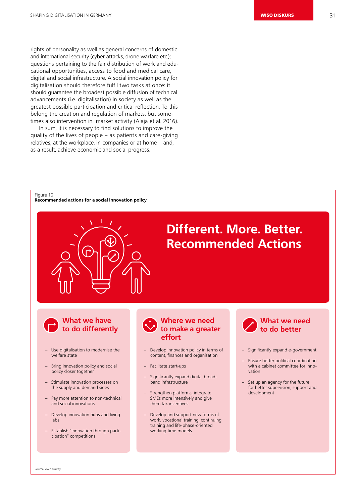rights of personality as well as general concerns of domestic and international security (cyber-attacks, drone warfare etc.); questions pertaining to the fair distribution of work and educational opportunities, access to food and medical care, digital and social infrastructure. A social innovation policy for digitalisation should therefore fulfil two tasks at once: it should guarantee the broadest possible diffusion of technical advancements (i.e. digitalisation) in society as well as the greatest possible participation and critical reflection. To this belong the creation and regulation of markets, but sometimes also intervention in market activity (Alaja et al. 2016).

In sum, it is necessary to find solutions to improve the quality of the lives of people – as patients and care-giving relatives, at the workplace, in companies or at home – and, as a result, achieve economic and social progress.

#### **Recommended actions for a social innovation policy**

Figure 10



Source: own survey.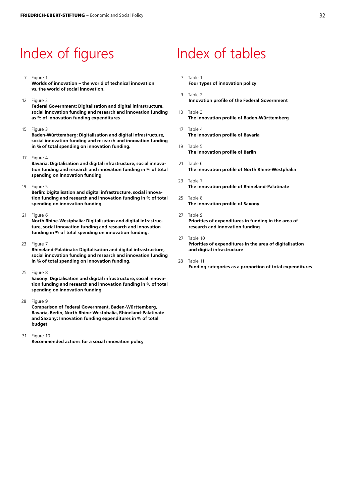## Index of figures **Index of tables**

Figure 1 7

**Worlds of innovation – the world of technical innovation vs. the world of social innovation.**

Figure 2 **Federal Government: Digitalisation and digital infrastructure, social innovation funding and research and innovation funding as % of innovation funding expenditures** 12

#### Figure 3 15

**Baden-Württemberg: Digitalisation and digital infrastructure, social innovation funding and research and innovation funding in % of total spending on innovation funding.** 

Figure 4 17

> **Bavaria: Digitalisation and digital infrastructure, social innovation funding and research and innovation funding in % of total spending on innovation funding.**

Figure 5 19

> **Berlin: Digitalisation and digital infrastructure, social innovation funding and research and innovation funding in % of total spending on innovation funding.**

Figure 6 21

> **North Rhine-Westphalia: Digitalisation and digital infrastructure, social innovation funding and research and innovation funding in % of total spending on innovation funding.**

Figure 7 23

> **Rhineland-Palatinate: Digitalisation and digital infrastructure, social innovation funding and research and innovation funding in % of total spending on innovation funding.**

25 Figure 8

**Saxony: Digitalisation and digital infrastructure, social innovation funding and research and innovation funding in % of total spending on innovation funding.**

Figure 9 28

**Comparison of Federal Government, Baden-Württemberg, Bavaria, Berlin, North Rhine-Westphalia, Rhineland-Palatinate and Saxony: Innovation funding expenditures in % of total budget**

Figure 10 31

**Recommended actions for a social innovation policy**

- Table 1 **Four types of innovation policy** 7
- Table 2 **Innovation profile of the Federal Government**  $\overline{Q}$
- Table 3 **The innovation profile of Baden-Württemberg** 13
- Table 4 **The innovation profile of Bavaria** 17
- Table 5 **The innovation profile of Berlin** 19
- 21 Table 6 **The innovation profile of North Rhine-Westphalia**
- Table 7 **The innovation profile of Rhineland-Palatinate** 23
- Table 8 **The innovation profile of Saxony** 25
- Table 9 **Priorities of expenditures in funding in the area of research and innovation funding** 27
- Table 10 **Priorities of expenditures in the area of digitalisation and digital infrastructure** 27
- Table 11 **Funding categories as a proportion of total expenditures** 28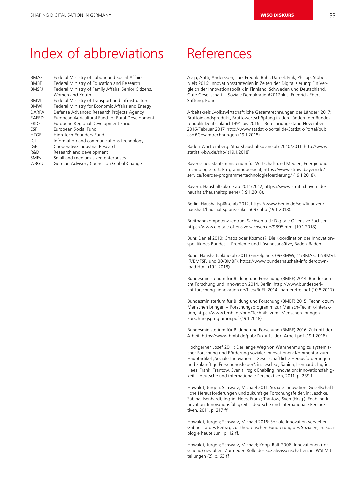## Index of abbreviations

| <b>BMAS</b><br><b>BMBF</b> | Federal Ministry of Labour and Social Affairs<br>Federal Ministry of Education and Research |
|----------------------------|---------------------------------------------------------------------------------------------|
| <b>BMSFJ</b>               | Federal Ministry of Family Affairs, Senior Citizens,                                        |
|                            | Women and Youth                                                                             |
| <b>BMVI</b>                | Federal Ministry of Transport and Infrastructure                                            |
| <b>BMWi</b>                | Federal Ministry for Economic Affairs and Energy                                            |
| <b>DARPA</b>               | Defense Advanced Research Projects Agency                                                   |
| EAFRD                      | European Agricultural Fund for Rural Development                                            |
| <b>ERDF</b>                | European Regional Development Fund                                                          |
| ESF                        | European Social Fund                                                                        |
| <b>HTGF</b>                | High-tech Founders Fund                                                                     |
| ICT                        | Information and communications technology                                                   |
| IGF                        | Cooperative Industrial Research                                                             |
| R&D                        | Research and development                                                                    |
| <b>SMEs</b>                | Small and medium-sized enterprises                                                          |
| WBGU                       | German Advisory Council on Global Change                                                    |

## References

Alaja, Antti; Andersson, Lars Fredrik; Buhr, Daniel; Fink, Philipp; Stöber, Niels 2016: Innovationsstrategien in Zeiten der Digitalisierung: Ein Vergleich der Innovationspolitik in Finnland, Schweden und Deutschland, Gute Gesellschaft – Soziale Demokratie #2017plus, Friedrich-Ebert-Stiftung, Bonn.

Arbeitskreis "Volkswirtschaftliche Gesamtrechnungen der Länder" 2017: Bruttoinlandsprodukt, Bruttowertschöpfung in den Ländern der Bundesrepublik Deutschland 1991 bis 2016 – Berechnungsstand November 2016/Februar 2017, [http://www.statistik-portal.de/Statistik-Portal/publ.](http://www.statistik-portal.de/Statistik-Portal/publ. asp#Gesamtrechnungen) [asp#Gesamtrechnungen](http://www.statistik-portal.de/Statistik-Portal/publ. asp#Gesamtrechnungen) (19.1.2018).

Baden-Württemberg: Staatshaushaltspläne ab 2010/2011, [http://www.](http://www. statistik-bw.de/shp/) [statistik-bw.de/shp/](http://www. statistik-bw.de/shp/) (19.1.2018).

Bayerisches Staatsministerium für Wirtschaft und Medien, Energie und Technologie o. J.: Programmübersicht, [https://www.stmwi.bayern.de/](https://www.stmwi.bayern.de/ service/foerder-programme/technologiefoerderung/) [service/foerder-programme/technologiefoerderung/](https://www.stmwi.bayern.de/ service/foerder-programme/technologiefoerderung/) (19.1.2018).

Bayern: Haushaltspläne ab 2011/2012, [https://www.stmflh.bayern.de/](https://www.stmflh.bayern.de/ haushalt/haushaltsplaene/) [haushalt/haushaltsplaene/](https://www.stmflh.bayern.de/ haushalt/haushaltsplaene/) (19.1.2018).

Berlin: Haushaltspläne ab 2012, [https://www.berlin.de/sen/finanzen/](https://www.berlin.de/sen/finanzen/haushalt/haushaltsplan/artikel.5697.php) [haushalt/haushaltsplan/artikel.5697.php](https://www.berlin.de/sen/finanzen/haushalt/haushaltsplan/artikel.5697.php) (19.1.2018).

Breitbandkompetenzzentrum Sachsen o. J.: Digitale Offensive Sachsen, <https://www.digitale.offensive.sachsen.de/9895.html>(19.1.2018).

Buhr, Daniel 2010: Chaos oder Kosmos?: Die Koordination der Innovationspolitik des Bundes – Probleme und Lösungsansätze, Baden-Baden.

Bund: Haushaltspläne ab 2011 (Einzelpläne: 09/BMWi, 11/BMAS, 12/BMVI, 17/BMFSFJ und 30/BMBF), [https://www.bundeshaushalt-info.de/down](https://www.bundeshaushalt-info.de/download.Html)[load.Html](https://www.bundeshaushalt-info.de/download.Html) (19.1.2018).

Bundesministerium für Bildung und Forschung (BMBF) 2014: Bundesbericht Forschung und Innovation 2014, Berlin, [http://www.bundesberi](http://www.bundesbericht-forschung- innovation.de/files/BuFI_2014_barrierefrei.pdf)[cht-forschung- innovation.de/files/BuFI\\_2014\\_barrierefrei.pdf](http://www.bundesbericht-forschung- innovation.de/files/BuFI_2014_barrierefrei.pdf) (10.8.2017).

Bundesministerium für Bildung und Forschung (BMBF) 2015: Technik zum Menschen bringen – Forschungsprogramm zur Mensch-Technik-Interaktion, [https://www.bmbf.de/pub/Technik\\_zum\\_Menschen\\_bringen\\_](https://www.bmbf.de/pub/Technik_zum_Menschen_bringen_Forschungsprogramm.pdf) [Forschungsprogramm.pdf](https://www.bmbf.de/pub/Technik_zum_Menschen_bringen_Forschungsprogramm.pdf) (19.1.2018).

Bundesministerium für Bildung und Forschung (BMBF) 2016: Zukunft der Arbeit, [https://www.bmbf.de/pub/Zukunft\\_der\\_Arbeit.pdf](https://www.bmbf.de/pub/Zukunft_der_Arbeit.pdf) (19.1.2018).

Hochgerner, Josef 2011: Der lange Weg von Wahrnehmung zu systemischer Forschung und Förderung sozialer Innovationen: Kommentar zum Hauptartikel "Soziale Innovation – Gesellschaftliche Herausforderungen und zukünftige Forschungsfelder", in: Jeschke, Sabina; Isenhardt, Ingrid; Hees, Frank; Trantow, Sven (Hrsg.): Enabling Innovation: Innovationsfähigkeit – deutsche und internationale Perspektiven, 2011, p. 239 ff.

Howaldt, Jürgen; Schwarz, Michael 2011: Soziale Innovation: Gesellschaftliche Herausforderungen und zukünftige Forschungsfelder, in: Jeschke, Sabina; Isenhardt, Ingrid; Hees, Frank; Trantow, Sven (Hrsg.): Enabling Innovation: Innovationsfähigkeit – deutsche und internationale Perspektiven, 2011, p. 217 ff.

Howaldt, Jürgen; Schwarz, Michael 2016: Soziale Innovation verstehen: Gabriel Tardes Beitrag zur theoretischen Fundierung des Sozialen, in: Soziologie heute Juni, p. 12 ff.

Howaldt, Jürgen; Schwarz, Michael; Kopp, Ralf 2008: Innovationen (forschend) gestalten: Zur neuen Rolle der Sozialwissenschaften, in: WSI Mitteilungen (2), p. 63 ff.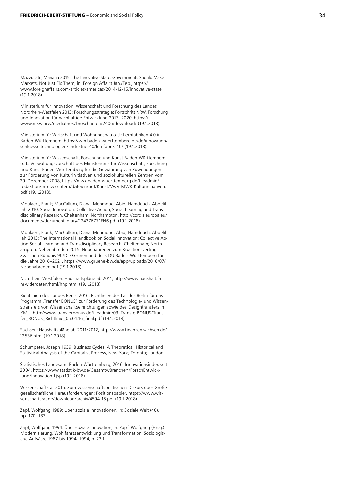Mazzucato, Mariana 2015: The Innovative State: Governments Should Make Markets, Not Just Fix Them, in: Foreign Affairs Jan./Feb., [https://](https:// www.foreignaffairs.com/articles/americas/2014-12-15/innovative-state) [www.foreignaffairs.com/articles/americas/2014-12-15/innovative-state](https:// www.foreignaffairs.com/articles/americas/2014-12-15/innovative-state)  $(19.1.2018)$ 

Ministerium für Innovation, Wissenschaft und Forschung des Landes Nordrhein-Westfalen 2013: Forschungsstrategie: Fortschritt NRW, Forschung und Innovation für nachhaltige Entwicklung 2013–2020, [https://](https:// www.mkw.nrw/mediathek/broschueren/2406/download/) [www.mkw.nrw/mediathek/broschueren/2406/download/](https:// www.mkw.nrw/mediathek/broschueren/2406/download/) (19.1.2018).

Ministerium für Wirtschaft und Wohnungsbau o. J.: Lernfabriken 4.0 in Baden-Württemberg, [https://wm.baden-wuerttemberg.de/de/innovation/](https://wm.baden-wuerttemberg.de/de/innovation/ schluesseltechnologien/ industrie-40/lernfabrik-40/) [schluesseltechnologien/ industrie-40/lernfabrik-40/](https://wm.baden-wuerttemberg.de/de/innovation/ schluesseltechnologien/ industrie-40/lernfabrik-40/) (19.1.2018).

Ministerium für Wissenschaft, Forschung und Kunst Baden-Württemberg o. J.: Verwaltungsvorschrift des Ministeriums für Wissenschaft, Forschung und Kunst Baden-Württemberg für die Gewährung von Zuwendungen zur Förderung von Kulturinitiativen und soziokulturellen Zentren vom 29. Dezember 2008, [https://mwk.baden-wuerttemberg.de/fileadmin/](https://mwk.baden-wuerttemberg.de/fileadmin/ redaktion/m-mwk/intern/dateien/pdf/Kunst/VwV-MWK-Kulturinitiativen. pdf) [redaktion/m-mwk/intern/dateien/pdf/Kunst/VwV-MWK-Kulturinitiativen.](https://mwk.baden-wuerttemberg.de/fileadmin/ redaktion/m-mwk/intern/dateien/pdf/Kunst/VwV-MWK-Kulturinitiativen. pdf) [pdf](https://mwk.baden-wuerttemberg.de/fileadmin/ redaktion/m-mwk/intern/dateien/pdf/Kunst/VwV-MWK-Kulturinitiativen. pdf) (19.1.2018).

Moulaert, Frank; MacCallum, Diana; Mehmood, Abid; Hamdouch, Abdelil lah 2010: Social Innovation: Collective Action, Social Learning and Trans disciplinary Research, Cheltenham; Northampton, [http://cordis.europa.eu/](http://cordis.europa.eu/ documents/documentlibrary/124376771EN6.pdf) [documents/documentlibrary/124376771EN6.pdf](http://cordis.europa.eu/ documents/documentlibrary/124376771EN6.pdf) (19.1.2018).

Moulaert, Frank; MacCallum, Diana; Mehmood, Abid; Hamdouch, Abdelil lah 2013: The International Handbook on Social innovation: Collective Ac tion Social Learning and Transdisciplinary Research, Cheltenham; North ampton. Nebenabreden 2015: Nebenabreden zum Koalitionsvertrag zwischen Bündnis 90/Die Grünen und der CDU Baden-Württemberg für die Jahre 2016–2021, [https://www.gruene-bw.de/app/uploads/2016/07/](https://www.gruene-bw.de/app/uploads/2016/07/Nebenabreden.pdf) [Nebenabreden.pdf](https://www.gruene-bw.de/app/uploads/2016/07/Nebenabreden.pdf) (19.1.2018).

Nordrhein-Westfalen: Haushaltspläne ab 2011, [http://www.haushalt.fm.](http://www.haushalt.fm.nrw.de/daten/html/hhp.html) [nrw.de/daten/html/hhp.html](http://www.haushalt.fm.nrw.de/daten/html/hhp.html) (19.1.2018).

Richtlinien des Landes Berlin 2016: Richtlinien des Landes Berlin für das Programm "Transfer BONUS" zur Förderung des Technologie- und Wissenstransfers von Wissenschaftseinrichtungen sowie des Designtransfers in KMU, [http://www.transferbonus.de/fileadmin/03\\_TransferBONUS/Trans](http://www.transferbonus.de/fileadmin/03_TransferBONUS/Transfer_BONUS_Richtlinie_05.01.16_final.pdf) [fer\\_BONUS\\_Richtlinie\\_05.01.16\\_final.pdf](http://www.transferbonus.de/fileadmin/03_TransferBONUS/Transfer_BONUS_Richtlinie_05.01.16_final.pdf) (19.1.2018).

Sachsen: Haushaltspläne ab 2011/2012, [http://www.finanzen.sachsen.de/](http://www.finanzen.sachsen.de/ 12536.html) [12536.html](http://www.finanzen.sachsen.de/ 12536.html) (19.1.2018).

Schumpeter, Joseph 1939: Business Cycles: A Theoretical, Historical and Statistical Analysis of the Capitalist Process, New York; Toronto; London.

Statistisches Landesamt Baden-Württemberg, 2016: Innovationsindex seit 2004, [https://www.statistik-bw.de/GesamtwBranchen/ForschEntwick](https://www.statistik-bw.de/GesamtwBranchen/ForschEntwicklung/Innovation-I.jsp) [lung/Innovation-I.jsp](https://www.statistik-bw.de/GesamtwBranchen/ForschEntwicklung/Innovation-I.jsp) (19.1.2018).

Wissenschaftsrat 2015: Zum wissenschaftspolitischen Diskurs über Große gesellschaftliche Herausforderungen: Positionspapier, [https://www.wis](https://www.wissenschaftsrat.de/download/archiv/4594-15.pdf) [senschaftsrat.de/download/archiv/4594-15.pdf](https://www.wissenschaftsrat.de/download/archiv/4594-15.pdf) (19.1.2018).

Zapf, Wolfgang 1989: Über soziale Innovationen, in: Soziale Welt (40), pp. 170–183.

Zapf, Wolfgang 1994: Über soziale Innovation, in: Zapf, Wolfgang (Hrsg.): Modernisierung, Wohlfahrtsentwicklung und Transformation: Soziologis che Aufsätze 1987 bis 1994, 1994, p. 23 ff.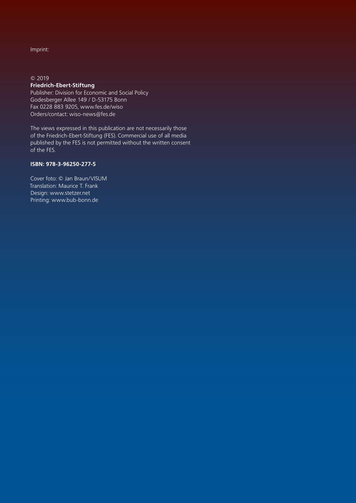Imprint:

### © 2019 **Friedrich-Ebert-Stiftung**

Publisher: Division for Economic and Social Policy Godesberger Allee 149 / D-53175 Bonn Fax 0228 883 9205, www.fes.de/wiso Orders/contact: [wiso-news@fes.de](mailto:wiso-news@fes.de)

The views expressed in this publication are not necessarily those of the Friedrich-Ebert-Stiftung (FES). Commercial use of all media published by the FES is not permitted without the written consent of the FES.

#### **ISBN: 978-3-96250-277-5**

Cover foto: © Jan Braun/VISUM Translation: Maurice T. Frank Design: www.stetzer.net Printing: www.bub-bonn.de